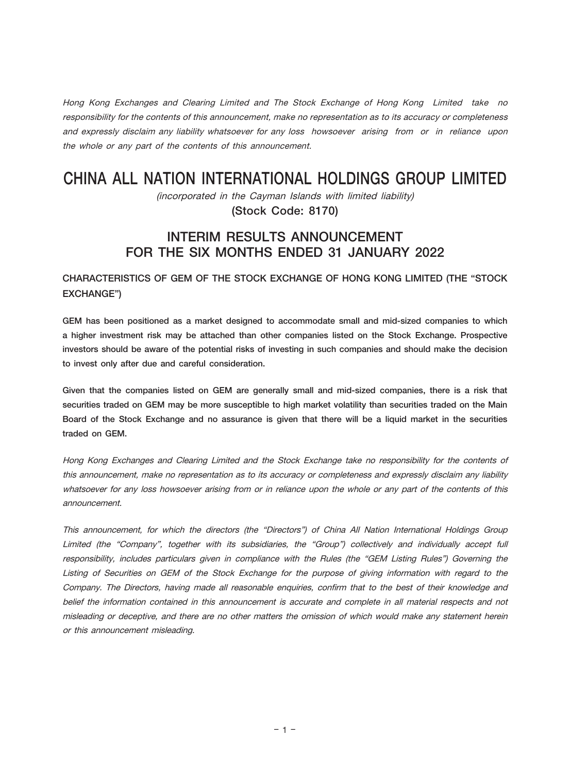Hong Kong Exchanges and Clearing Limited and The Stock Exchange of Hong Kong Limited take no responsibility for the contents of this announcement, make no representation as to its accuracy or completeness and expressly disclaim any liability whatsoever for any loss howsoever arising from or in reliance upon the whole or any part of the contents of this announcement.

# CHINA ALL NATION INTERNATIONAL HOLDINGS GROUP LIMITED

(incorporated in the Cayman Islands with limited liability) (Stock Code: 8170)

# INTERIM RESULTS ANNOUNCEMENT FOR THE SIX MONTHS ENDED 31 JANUARY 2022

# CHARACTERISTICS OF GEM OF THE STOCK EXCHANGE OF HONG KONG LIMITED (THE "STOCK EXCHANGE")

GEM has been positioned as a market designed to accommodate small and mid-sized companies to which a higher investment risk may be attached than other companies listed on the Stock Exchange. Prospective investors should be aware of the potential risks of investing in such companies and should make the decision to invest only after due and careful consideration.

Given that the companies listed on GEM are generally small and mid-sized companies, there is a risk that securities traded on GEM may be more susceptible to high market volatility than securities traded on the Main Board of the Stock Exchange and no assurance is given that there will be a liquid market in the securities traded on GEM.

Hong Kong Exchanges and Clearing Limited and the Stock Exchange take no responsibility for the contents of this announcement, make no representation as to its accuracy or completeness and expressly disclaim any liability whatsoever for any loss howsoever arising from or in reliance upon the whole or any part of the contents of this announcement.

This announcement, for which the directors (the "Directors") of China All Nation International Holdings Group Limited (the "Company", together with its subsidiaries, the "Group") collectively and individually accept full responsibility, includes particulars given in compliance with the Rules (the "GEM Listing Rules") Governing the Listing of Securities on GEM of the Stock Exchange for the purpose of giving information with regard to the Company. The Directors, having made all reasonable enquiries, confirm that to the best of their knowledge and belief the information contained in this announcement is accurate and complete in all material respects and not misleading or deceptive, and there are no other matters the omission of which would make any statement herein or this announcement misleading.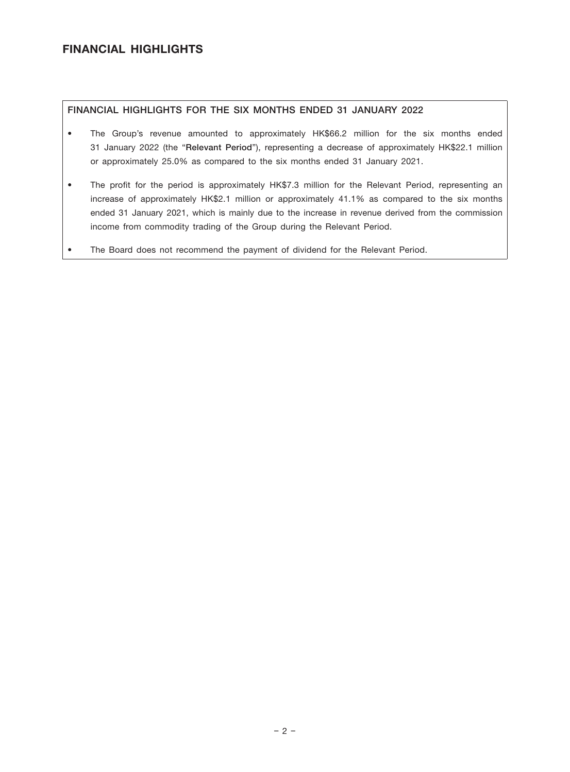# FINANCIAL HIGHLIGHTS

## FINANCIAL HIGHLIGHTS FOR THE SIX MONTHS ENDED 31 JANUARY 2022

- The Group's revenue amounted to approximately HK\$66.2 million for the six months ended 31 January 2022 (the "Relevant Period"), representing a decrease of approximately HK\$22.1 million or approximately 25.0% as compared to the six months ended 31 January 2021.
- The profit for the period is approximately HK\$7.3 million for the Relevant Period, representing an increase of approximately HK\$2.1 million or approximately 41.1% as compared to the six months ended 31 January 2021, which is mainly due to the increase in revenue derived from the commission income from commodity trading of the Group during the Relevant Period.
- The Board does not recommend the payment of dividend for the Relevant Period.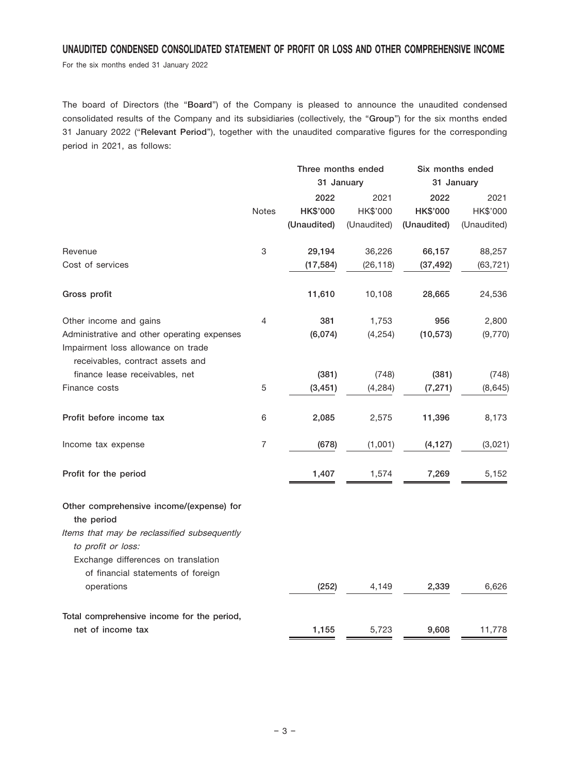# UNAUDITED CONDENSED CONSOLIDATED STATEMENT OF PROFIT OR LOSS AND OTHER COMPREHENSIVE INCOME

For the six months ended 31 January 2022

The board of Directors (the "Board") of the Company is pleased to announce the unaudited condensed consolidated results of the Company and its subsidiaries (collectively, the "Group") for the six months ended 31 January 2022 ("Relevant Period"), together with the unaudited comparative figures for the corresponding period in 2021, as follows:

|                                                                                                                                                                    |              | Three months ended |             | Six months ended |             |  |
|--------------------------------------------------------------------------------------------------------------------------------------------------------------------|--------------|--------------------|-------------|------------------|-------------|--|
|                                                                                                                                                                    |              | 31 January         |             | 31 January       |             |  |
|                                                                                                                                                                    |              | 2022               | 2021        | 2022             | 2021        |  |
|                                                                                                                                                                    | <b>Notes</b> | HK\$'000           | HK\$'000    | HK\$'000         | HK\$'000    |  |
|                                                                                                                                                                    |              | (Unaudited)        | (Unaudited) | (Unaudited)      | (Unaudited) |  |
| Revenue                                                                                                                                                            | 3            | 29,194             | 36,226      | 66,157           | 88,257      |  |
| Cost of services                                                                                                                                                   |              | (17, 584)          | (26, 118)   | (37, 492)        | (63, 721)   |  |
| Gross profit                                                                                                                                                       |              | 11,610             | 10,108      | 28,665           | 24,536      |  |
| Other income and gains                                                                                                                                             | 4            | 381                | 1,753       | 956              | 2,800       |  |
| Administrative and other operating expenses<br>Impairment loss allowance on trade<br>receivables, contract assets and                                              |              | (6,074)            | (4, 254)    | (10, 573)        | (9,770)     |  |
| finance lease receivables, net                                                                                                                                     |              | (381)              | (748)       | (381)            | (748)       |  |
| Finance costs                                                                                                                                                      | 5            | (3, 451)           | (4, 284)    | (7, 271)         | (8, 645)    |  |
| Profit before income tax                                                                                                                                           | 6            | 2,085              | 2,575       | 11,396           | 8,173       |  |
| Income tax expense                                                                                                                                                 | 7            | (678)              | (1,001)     | (4, 127)         | (3,021)     |  |
| Profit for the period                                                                                                                                              |              | 1,407              | 1,574       | 7,269            | 5,152       |  |
| Other comprehensive income/(expense) for<br>the period<br>Items that may be reclassified subsequently<br>to profit or loss:<br>Exchange differences on translation |              |                    |             |                  |             |  |
| of financial statements of foreign<br>operations                                                                                                                   |              | (252)              | 4,149       | 2,339            | 6,626       |  |
| Total comprehensive income for the period,                                                                                                                         |              |                    |             |                  |             |  |
| net of income tax                                                                                                                                                  |              | 1,155              | 5,723       | 9,608            | 11,778      |  |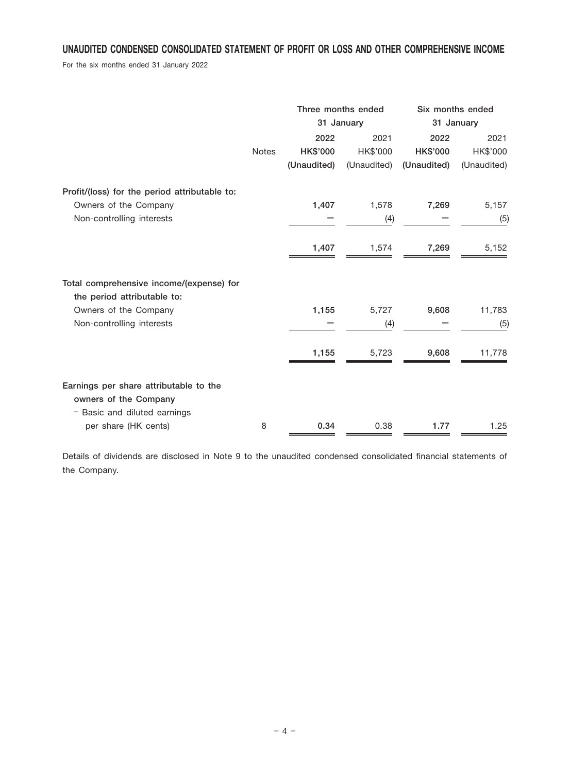# UNAUDITED CONDENSED CONSOLIDATED STATEMENT OF PROFIT OR LOSS AND OTHER COMPREHENSIVE INCOME

For the six months ended 31 January 2022

|                                                                                                     |              | Three months ended<br>31 January |                  | Six months ended<br>31 January |                  |
|-----------------------------------------------------------------------------------------------------|--------------|----------------------------------|------------------|--------------------------------|------------------|
|                                                                                                     | <b>Notes</b> | 2022<br><b>HK\$'000</b>          | 2021<br>HK\$'000 | 2022<br><b>HK\$'000</b>        | 2021<br>HK\$'000 |
|                                                                                                     |              | (Unaudited)                      | (Unaudited)      | (Unaudited)                    | (Unaudited)      |
| Profit/(loss) for the period attributable to:<br>Owners of the Company<br>Non-controlling interests |              | 1,407                            | 1,578<br>(4)     | 7,269                          | 5,157<br>(5)     |
|                                                                                                     |              | 1,407                            | 1,574            | 7,269                          | 5,152            |
| Total comprehensive income/(expense) for<br>the period attributable to:                             |              |                                  |                  |                                |                  |
| Owners of the Company<br>Non-controlling interests                                                  |              | 1,155                            | 5,727<br>(4)     | 9,608                          | 11,783<br>(5)    |
|                                                                                                     |              | 1,155                            | 5,723            | 9,608                          | 11,778           |
| Earnings per share attributable to the<br>owners of the Company<br>- Basic and diluted earnings     |              |                                  |                  |                                |                  |
| per share (HK cents)                                                                                | 8            | 0.34                             | 0.38             | 1.77                           | 1.25             |

Details of dividends are disclosed in Note 9 to the unaudited condensed consolidated financial statements of the Company.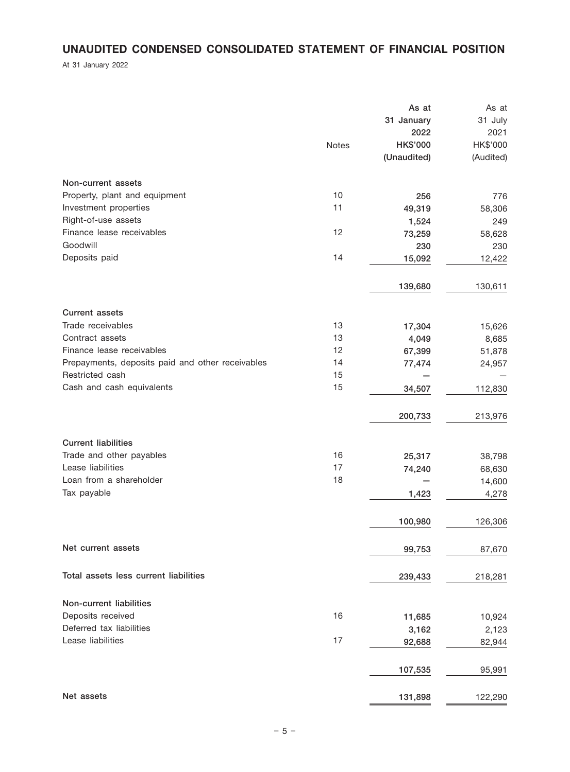# UNAUDITED CONDENSED CONSOLIDATED STATEMENT OF FINANCIAL POSITION

At 31 January 2022

|                                                  |       | As at<br>31 January | As at<br>31 July |
|--------------------------------------------------|-------|---------------------|------------------|
|                                                  |       | 2022                | 2021             |
|                                                  | Notes | <b>HK\$'000</b>     | HK\$'000         |
|                                                  |       | (Unaudited)         | (Audited)        |
| Non-current assets                               |       |                     |                  |
| Property, plant and equipment                    | 10    | 256                 | 776              |
| Investment properties                            | 11    | 49,319              | 58,306           |
| Right-of-use assets                              |       | 1,524               | 249              |
| Finance lease receivables                        | 12    | 73,259              | 58,628           |
| Goodwill                                         |       | 230                 | 230              |
| Deposits paid                                    | 14    | 15,092              | 12,422           |
|                                                  |       | 139,680             | 130,611          |
| <b>Current assets</b>                            |       |                     |                  |
| Trade receivables                                | 13    | 17,304              | 15,626           |
| Contract assets                                  | 13    | 4,049               | 8,685            |
| Finance lease receivables                        | 12    | 67,399              | 51,878           |
| Prepayments, deposits paid and other receivables | 14    | 77,474              | 24,957           |
| Restricted cash                                  | 15    |                     |                  |
| Cash and cash equivalents                        | 15    | 34,507              | 112,830          |
|                                                  |       | 200,733             | 213,976          |
| <b>Current liabilities</b>                       |       |                     |                  |
| Trade and other payables                         | 16    | 25,317              | 38,798           |
| Lease liabilities                                | 17    | 74,240              | 68,630           |
| Loan from a shareholder                          | 18    |                     | 14,600           |
| Tax payable                                      |       | 1,423               | 4,278            |
|                                                  |       | 100,980             | 126,306          |
| Net current assets                               |       | 99,753              | 87,670           |
| Total assets less current liabilities            |       | 239,433             | 218,281          |
| Non-current liabilities                          |       |                     |                  |
| Deposits received                                | 16    | 11,685              | 10,924           |
| Deferred tax liabilities                         |       | 3,162               | 2,123            |
| Lease liabilities                                | 17    | 92,688              | 82,944           |
|                                                  |       | 107,535             | 95,991           |
| Net assets                                       |       | 131,898             | 122,290          |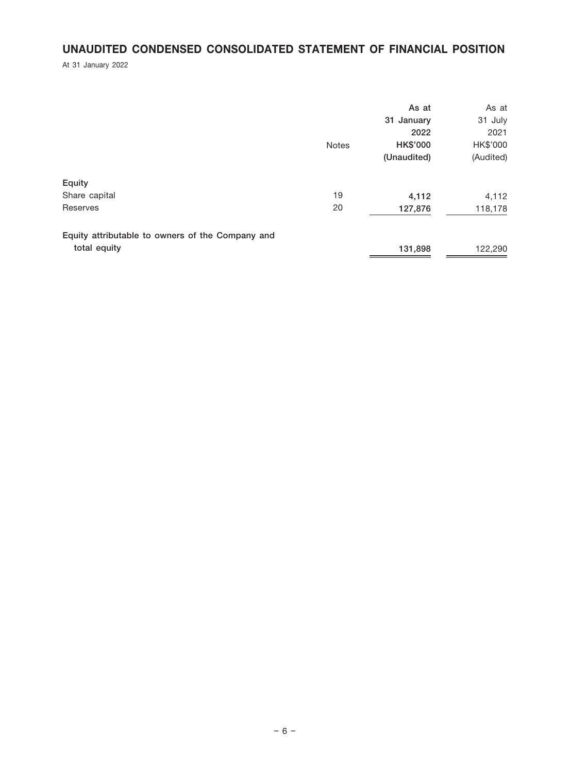# UNAUDITED CONDENSED CONSOLIDATED STATEMENT OF FINANCIAL POSITION

At 31 January 2022

|                                                  |              | As at<br>31 January<br>2022    | As at<br>31 July<br>2021 |
|--------------------------------------------------|--------------|--------------------------------|--------------------------|
|                                                  | <b>Notes</b> | <b>HK\$'000</b><br>(Unaudited) | HK\$'000<br>(Audited)    |
| Equity                                           |              |                                |                          |
| Share capital                                    | 19           | 4,112                          | 4,112                    |
| Reserves                                         | 20           | 127,876                        | 118,178                  |
| Equity attributable to owners of the Company and |              |                                |                          |
| total equity                                     |              | 131,898                        | 122,290                  |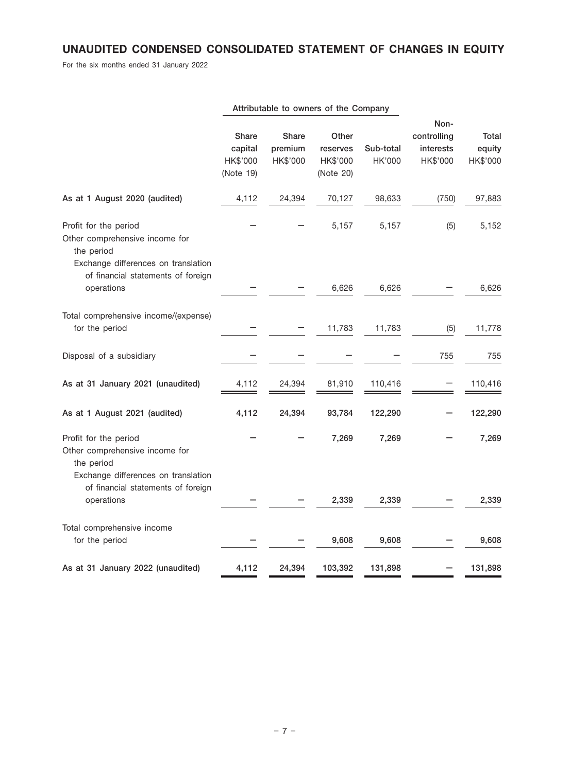# UNAUDITED CONDENSED CONSOLIDATED STATEMENT OF CHANGES IN EQUITY

For the six months ended 31 January 2022

|                                                                                                              |                                           |                                     | Attributable to owners of the Company      |                     |                                              |                                    |
|--------------------------------------------------------------------------------------------------------------|-------------------------------------------|-------------------------------------|--------------------------------------------|---------------------|----------------------------------------------|------------------------------------|
|                                                                                                              | Share<br>capital<br>HK\$'000<br>(Note 19) | <b>Share</b><br>premium<br>HK\$'000 | Other<br>reserves<br>HK\$'000<br>(Note 20) | Sub-total<br>HK'000 | Non-<br>controlling<br>interests<br>HK\$'000 | <b>Total</b><br>equity<br>HK\$'000 |
| As at 1 August 2020 (audited)                                                                                | 4,112                                     | 24,394                              | 70,127                                     | 98,633              | (750)                                        | 97,883                             |
| Profit for the period<br>Other comprehensive income for<br>the period                                        |                                           |                                     | 5,157                                      | 5,157               | (5)                                          | 5,152                              |
| Exchange differences on translation<br>of financial statements of foreign<br>operations                      |                                           |                                     | 6,626                                      | 6,626               |                                              | 6,626                              |
| Total comprehensive income/(expense)<br>for the period                                                       |                                           |                                     | 11,783                                     | 11,783              | (5)                                          | 11,778                             |
| Disposal of a subsidiary                                                                                     |                                           |                                     |                                            |                     | 755                                          | 755                                |
| As at 31 January 2021 (unaudited)                                                                            | 4,112                                     | 24,394                              | 81,910                                     | 110,416             |                                              | 110,416                            |
| As at 1 August 2021 (audited)                                                                                | 4,112                                     | 24,394                              | 93,784                                     | 122,290             |                                              | 122,290                            |
| Profit for the period<br>Other comprehensive income for<br>the period<br>Exchange differences on translation |                                           |                                     | 7,269                                      | 7,269               |                                              | 7,269                              |
| of financial statements of foreign<br>operations                                                             |                                           |                                     | 2,339                                      | 2,339               |                                              | 2,339                              |
| Total comprehensive income<br>for the period                                                                 |                                           |                                     | 9,608                                      | 9,608               |                                              | 9,608                              |
| As at 31 January 2022 (unaudited)                                                                            | 4,112                                     | 24,394                              | 103,392                                    | 131,898             |                                              | 131,898                            |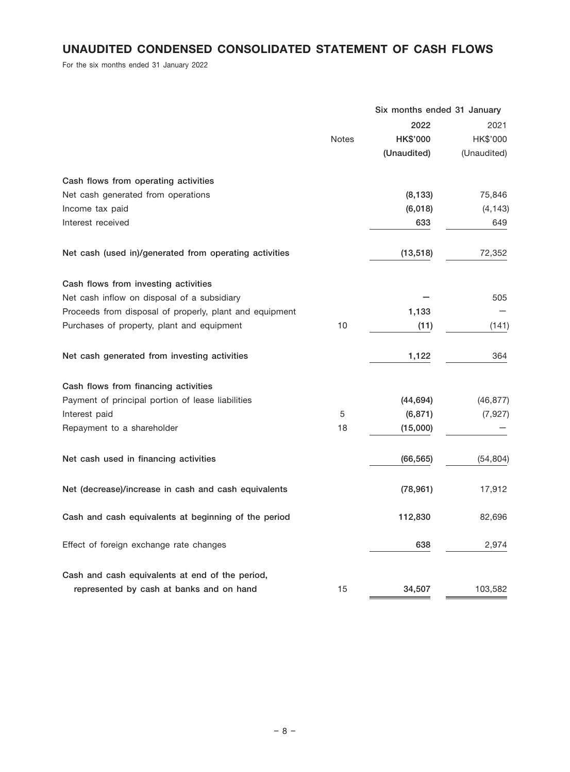# UNAUDITED CONDENSED CONSOLIDATED STATEMENT OF CASH FLOWS

For the six months ended 31 January 2022

|                                                         |              | Six months ended 31 January |             |
|---------------------------------------------------------|--------------|-----------------------------|-------------|
|                                                         |              | 2022                        | 2021        |
|                                                         | <b>Notes</b> | HK\$'000                    | HK\$'000    |
|                                                         |              | (Unaudited)                 | (Unaudited) |
| Cash flows from operating activities                    |              |                             |             |
| Net cash generated from operations                      |              | (8, 133)                    | 75,846      |
| Income tax paid                                         |              | (6,018)                     | (4, 143)    |
| Interest received                                       |              | 633                         | 649         |
| Net cash (used in)/generated from operating activities  |              | (13, 518)                   | 72,352      |
| Cash flows from investing activities                    |              |                             |             |
| Net cash inflow on disposal of a subsidiary             |              |                             | 505         |
| Proceeds from disposal of properly, plant and equipment |              | 1,133                       |             |
| Purchases of property, plant and equipment              | 10           | (11)                        | (141)       |
| Net cash generated from investing activities            |              | 1,122                       | 364         |
| Cash flows from financing activities                    |              |                             |             |
| Payment of principal portion of lease liabilities       |              | (44, 694)                   | (46, 877)   |
| Interest paid                                           | 5            | (6, 871)                    | (7, 927)    |
| Repayment to a shareholder                              | 18           | (15,000)                    |             |
| Net cash used in financing activities                   |              | (66, 565)                   | (54, 804)   |
| Net (decrease)/increase in cash and cash equivalents    |              | (78, 961)                   | 17,912      |
| Cash and cash equivalents at beginning of the period    |              | 112,830                     | 82,696      |
| Effect of foreign exchange rate changes                 |              | 638                         | 2,974       |
| Cash and cash equivalents at end of the period,         |              |                             |             |
| represented by cash at banks and on hand                | 15           | 34,507                      | 103,582     |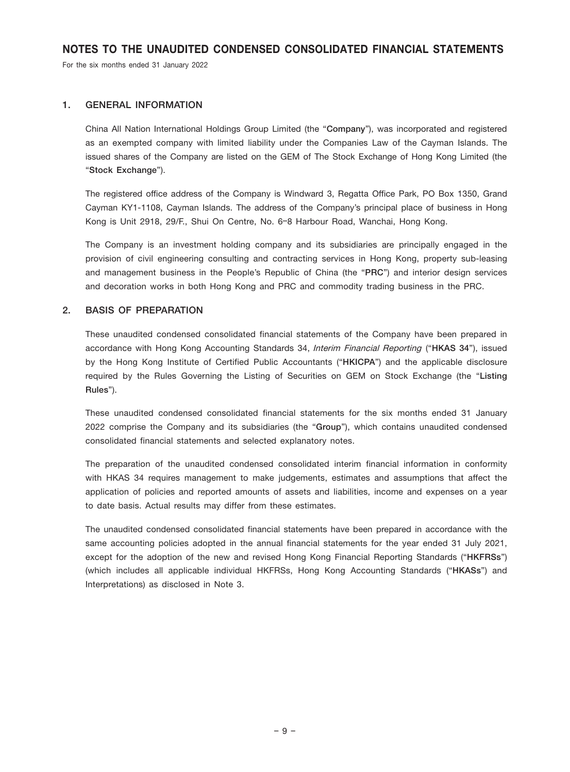For the six months ended 31 January 2022

#### 1. GENERAL INFORMATION

China All Nation International Holdings Group Limited (the "Company"), was incorporated and registered as an exempted company with limited liability under the Companies Law of the Cayman Islands. The issued shares of the Company are listed on the GEM of The Stock Exchange of Hong Kong Limited (the "Stock Exchange").

The registered office address of the Company is Windward 3, Regatta Office Park, PO Box 1350, Grand Cayman KY1-1108, Cayman Islands. The address of the Company's principal place of business in Hong Kong is Unit 2918, 29/F., Shui On Centre, No. 6–8 Harbour Road, Wanchai, Hong Kong.

The Company is an investment holding company and its subsidiaries are principally engaged in the provision of civil engineering consulting and contracting services in Hong Kong, property sub-leasing and management business in the People's Republic of China (the "PRC") and interior design services and decoration works in both Hong Kong and PRC and commodity trading business in the PRC.

#### 2. BASIS OF PREPARATION

These unaudited condensed consolidated financial statements of the Company have been prepared in accordance with Hong Kong Accounting Standards 34, Interim Financial Reporting ("HKAS 34"), issued by the Hong Kong Institute of Certified Public Accountants ("HKICPA") and the applicable disclosure required by the Rules Governing the Listing of Securities on GEM on Stock Exchange (the "Listing Rules").

These unaudited condensed consolidated financial statements for the six months ended 31 January 2022 comprise the Company and its subsidiaries (the "Group"), which contains unaudited condensed consolidated financial statements and selected explanatory notes.

The preparation of the unaudited condensed consolidated interim financial information in conformity with HKAS 34 requires management to make judgements, estimates and assumptions that affect the application of policies and reported amounts of assets and liabilities, income and expenses on a year to date basis. Actual results may differ from these estimates.

The unaudited condensed consolidated financial statements have been prepared in accordance with the same accounting policies adopted in the annual financial statements for the year ended 31 July 2021, except for the adoption of the new and revised Hong Kong Financial Reporting Standards ("HKFRSs") (which includes all applicable individual HKFRSs, Hong Kong Accounting Standards ("HKASs") and Interpretations) as disclosed in Note 3.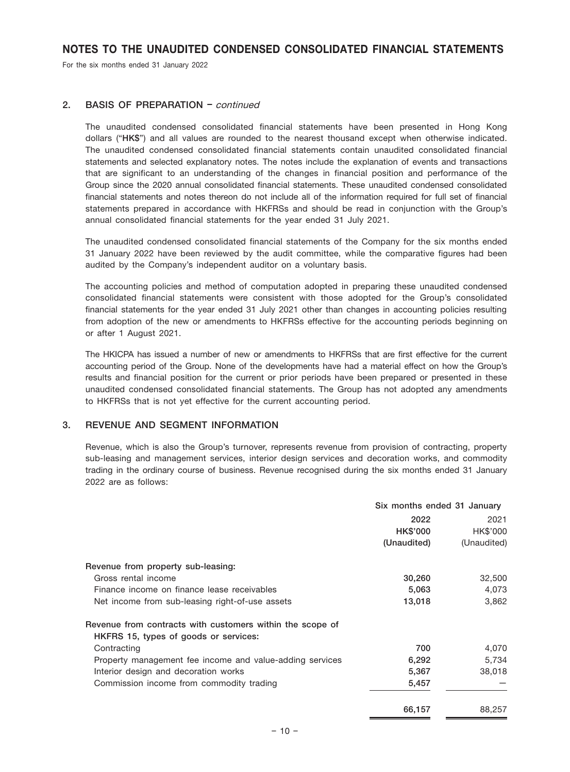For the six months ended 31 January 2022

### 2. BASIS OF PREPARATION – continued

The unaudited condensed consolidated financial statements have been presented in Hong Kong dollars ("HK\$") and all values are rounded to the nearest thousand except when otherwise indicated. The unaudited condensed consolidated financial statements contain unaudited consolidated financial statements and selected explanatory notes. The notes include the explanation of events and transactions that are significant to an understanding of the changes in financial position and performance of the Group since the 2020 annual consolidated financial statements. These unaudited condensed consolidated financial statements and notes thereon do not include all of the information required for full set of financial statements prepared in accordance with HKFRSs and should be read in conjunction with the Group's annual consolidated financial statements for the year ended 31 July 2021.

The unaudited condensed consolidated financial statements of the Company for the six months ended 31 January 2022 have been reviewed by the audit committee, while the comparative figures had been audited by the Company's independent auditor on a voluntary basis.

The accounting policies and method of computation adopted in preparing these unaudited condensed consolidated financial statements were consistent with those adopted for the Group's consolidated financial statements for the year ended 31 July 2021 other than changes in accounting policies resulting from adoption of the new or amendments to HKFRSs effective for the accounting periods beginning on or after 1 August 2021.

The HKICPA has issued a number of new or amendments to HKFRSs that are first effective for the current accounting period of the Group. None of the developments have had a material effect on how the Group's results and financial position for the current or prior periods have been prepared or presented in these unaudited condensed consolidated financial statements. The Group has not adopted any amendments to HKFRSs that is not yet effective for the current accounting period.

#### 3. REVENUE AND SEGMENT INFORMATION

Revenue, which is also the Group's turnover, represents revenue from provision of contracting, property sub-leasing and management services, interior design services and decoration works, and commodity trading in the ordinary course of business. Revenue recognised during the six months ended 31 January 2022 are as follows:

|                                                           | Six months ended 31 January |             |  |
|-----------------------------------------------------------|-----------------------------|-------------|--|
|                                                           | 2022                        | 2021        |  |
|                                                           | <b>HK\$'000</b>             | HK\$'000    |  |
|                                                           | (Unaudited)                 | (Unaudited) |  |
| Revenue from property sub-leasing:                        |                             |             |  |
| Gross rental income                                       | 30,260                      | 32,500      |  |
| Finance income on finance lease receivables               | 5,063                       | 4,073       |  |
| Net income from sub-leasing right-of-use assets           | 13,018                      | 3,862       |  |
| Revenue from contracts with customers within the scope of |                             |             |  |
| HKFRS 15, types of goods or services:                     |                             |             |  |
| Contracting                                               | 700                         | 4,070       |  |
| Property management fee income and value-adding services  | 6,292                       | 5,734       |  |
| Interior design and decoration works                      | 5,367                       | 38,018      |  |
| Commission income from commodity trading                  | 5,457                       |             |  |
|                                                           | 66,157                      | 88,257      |  |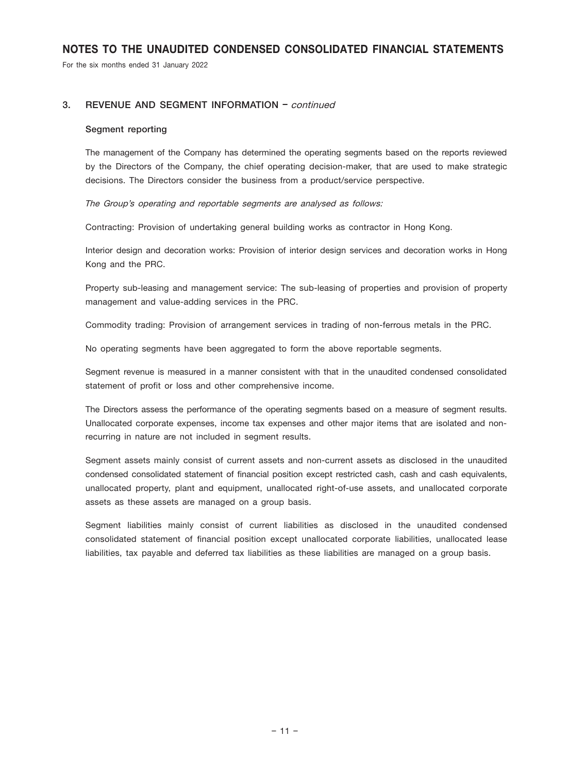For the six months ended 31 January 2022

### 3. REVENUE AND SEGMENT INFORMATION – continued

#### Segment reporting

The management of the Company has determined the operating segments based on the reports reviewed by the Directors of the Company, the chief operating decision-maker, that are used to make strategic decisions. The Directors consider the business from a product/service perspective.

The Group's operating and reportable segments are analysed as follows:

Contracting: Provision of undertaking general building works as contractor in Hong Kong.

Interior design and decoration works: Provision of interior design services and decoration works in Hong Kong and the PRC.

Property sub-leasing and management service: The sub-leasing of properties and provision of property management and value-adding services in the PRC.

Commodity trading: Provision of arrangement services in trading of non-ferrous metals in the PRC.

No operating segments have been aggregated to form the above reportable segments.

Segment revenue is measured in a manner consistent with that in the unaudited condensed consolidated statement of profit or loss and other comprehensive income.

The Directors assess the performance of the operating segments based on a measure of segment results. Unallocated corporate expenses, income tax expenses and other major items that are isolated and nonrecurring in nature are not included in segment results.

Segment assets mainly consist of current assets and non-current assets as disclosed in the unaudited condensed consolidated statement of financial position except restricted cash, cash and cash equivalents, unallocated property, plant and equipment, unallocated right-of-use assets, and unallocated corporate assets as these assets are managed on a group basis.

Segment liabilities mainly consist of current liabilities as disclosed in the unaudited condensed consolidated statement of financial position except unallocated corporate liabilities, unallocated lease liabilities, tax payable and deferred tax liabilities as these liabilities are managed on a group basis.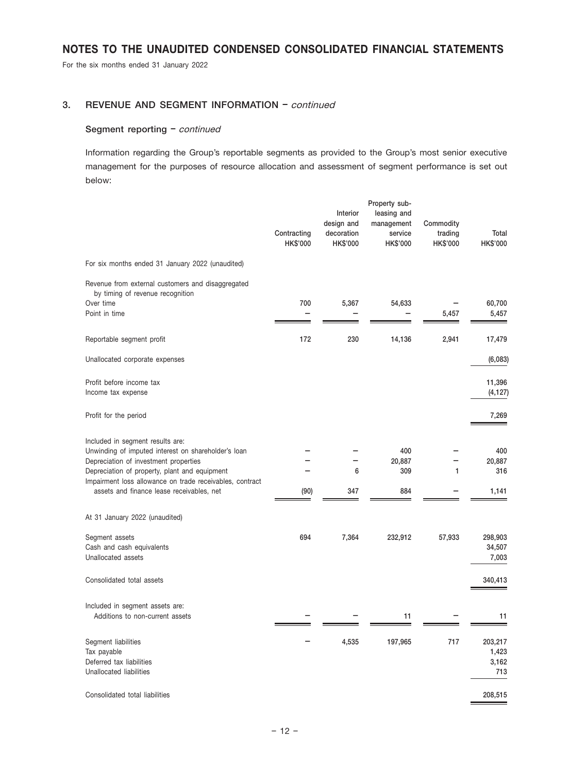For the six months ended 31 January 2022

# 3. REVENUE AND SEGMENT INFORMATION – continued

#### Segment reporting - continued

Information regarding the Group's reportable segments as provided to the Group's most senior executive management for the purposes of resource allocation and assessment of segment performance is set out below:

|                                                                                                                                                                                                                                                                                            | Contracting<br>HK\$'000 | Interior<br>design and<br>decoration<br><b>HK\$'000</b> | Property sub-<br>leasing and<br>management<br>service<br>HK\$'000 | Commodity<br>trading<br><b>HK\$'000</b> | Total<br><b>HK\$'000</b>         |
|--------------------------------------------------------------------------------------------------------------------------------------------------------------------------------------------------------------------------------------------------------------------------------------------|-------------------------|---------------------------------------------------------|-------------------------------------------------------------------|-----------------------------------------|----------------------------------|
| For six months ended 31 January 2022 (unaudited)                                                                                                                                                                                                                                           |                         |                                                         |                                                                   |                                         |                                  |
| Revenue from external customers and disaggregated<br>by timing of revenue recognition<br>Over time<br>Point in time                                                                                                                                                                        | 700                     | 5,367                                                   | 54,633                                                            | 5,457                                   | 60,700<br>5,457                  |
| Reportable segment profit                                                                                                                                                                                                                                                                  | 172                     | 230                                                     | 14,136                                                            | 2,941                                   | 17,479                           |
| Unallocated corporate expenses                                                                                                                                                                                                                                                             |                         |                                                         |                                                                   |                                         | (6,083)                          |
| Profit before income tax<br>Income tax expense                                                                                                                                                                                                                                             |                         |                                                         |                                                                   |                                         | 11,396<br>(4, 127)               |
| Profit for the period                                                                                                                                                                                                                                                                      |                         |                                                         |                                                                   |                                         | 7,269                            |
| Included in segment results are:<br>Unwinding of imputed interest on shareholder's loan<br>Depreciation of investment properties<br>Depreciation of property, plant and equipment<br>Impairment loss allowance on trade receivables, contract<br>assets and finance lease receivables, net | (90)                    | 6<br>347                                                | 400<br>20,887<br>309<br>884                                       | 1                                       | 400<br>20,887<br>316<br>1,141    |
| At 31 January 2022 (unaudited)                                                                                                                                                                                                                                                             |                         |                                                         |                                                                   |                                         |                                  |
| Segment assets<br>Cash and cash equivalents<br>Unallocated assets                                                                                                                                                                                                                          | 694                     | 7,364                                                   | 232,912                                                           | 57,933                                  | 298,903<br>34,507<br>7,003       |
| Consolidated total assets                                                                                                                                                                                                                                                                  |                         |                                                         |                                                                   |                                         | 340,413                          |
| Included in segment assets are:<br>Additions to non-current assets                                                                                                                                                                                                                         |                         |                                                         | 11                                                                |                                         | 11                               |
| Segment liabilities<br>Tax payable<br>Deferred tax liabilities<br>Unallocated liabilities                                                                                                                                                                                                  |                         | 4,535                                                   | 197,965                                                           | 717                                     | 203,217<br>1,423<br>3,162<br>713 |
| Consolidated total liabilities                                                                                                                                                                                                                                                             |                         |                                                         |                                                                   |                                         | 208,515                          |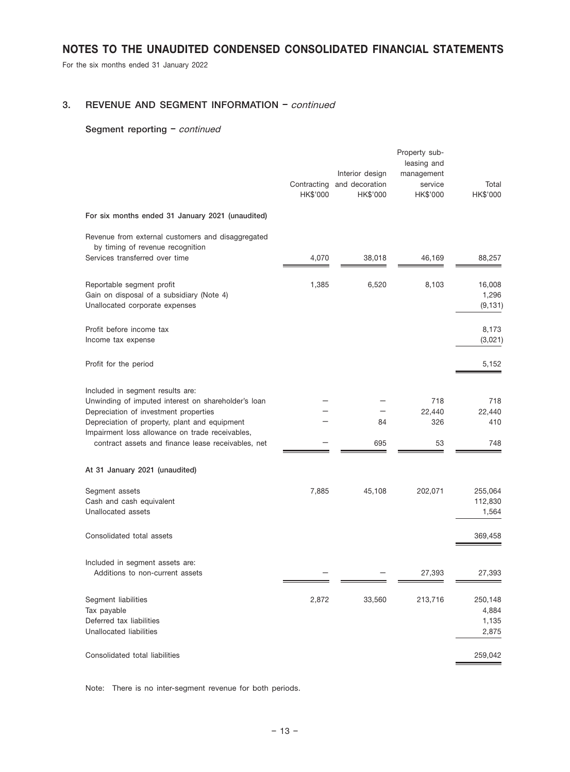For the six months ended 31 January 2022

## 3. REVENUE AND SEGMENT INFORMATION – continued

## Segment reporting - continued

|                                                                                                                                                                                                                                                                                            | Contracting<br>HK\$'000 | Interior design<br>and decoration<br>HK\$'000 | Property sub-<br>leasing and<br>management<br>service<br>HK\$'000 | Total<br>HK\$'000                      |
|--------------------------------------------------------------------------------------------------------------------------------------------------------------------------------------------------------------------------------------------------------------------------------------------|-------------------------|-----------------------------------------------|-------------------------------------------------------------------|----------------------------------------|
| For six months ended 31 January 2021 (unaudited)                                                                                                                                                                                                                                           |                         |                                               |                                                                   |                                        |
| Revenue from external customers and disaggregated<br>by timing of revenue recognition<br>Services transferred over time                                                                                                                                                                    | 4,070                   | 38,018                                        | 46,169                                                            | 88,257                                 |
| Reportable segment profit<br>Gain on disposal of a subsidiary (Note 4)<br>Unallocated corporate expenses                                                                                                                                                                                   | 1,385                   | 6,520                                         | 8,103                                                             | 16,008<br>1,296<br>(9, 131)            |
| Profit before income tax<br>Income tax expense                                                                                                                                                                                                                                             |                         |                                               |                                                                   | 8,173<br>(3,021)                       |
| Profit for the period                                                                                                                                                                                                                                                                      |                         |                                               |                                                                   | 5,152                                  |
| Included in segment results are:<br>Unwinding of imputed interest on shareholder's loan<br>Depreciation of investment properties<br>Depreciation of property, plant and equipment<br>Impairment loss allowance on trade receivables,<br>contract assets and finance lease receivables, net |                         | 84<br>695                                     | 718<br>22,440<br>326<br>53                                        | 718<br>22,440<br>410<br>748            |
| At 31 January 2021 (unaudited)<br>Segment assets<br>Cash and cash equivalent<br>Unallocated assets<br>Consolidated total assets                                                                                                                                                            | 7,885                   | 45,108                                        | 202,071                                                           | 255,064<br>112,830<br>1,564<br>369,458 |
| Included in segment assets are:<br>Additions to non-current assets                                                                                                                                                                                                                         |                         |                                               | 27,393                                                            | 27,393                                 |
| Segment liabilities<br>Tax payable<br>Deferred tax liabilities<br>Unallocated liabilities                                                                                                                                                                                                  | 2,872                   | 33,560                                        | 213,716                                                           | 250,148<br>4,884<br>1,135<br>2,875     |
| Consolidated total liabilities                                                                                                                                                                                                                                                             |                         |                                               |                                                                   | 259,042                                |

Note: There is no inter-segment revenue for both periods.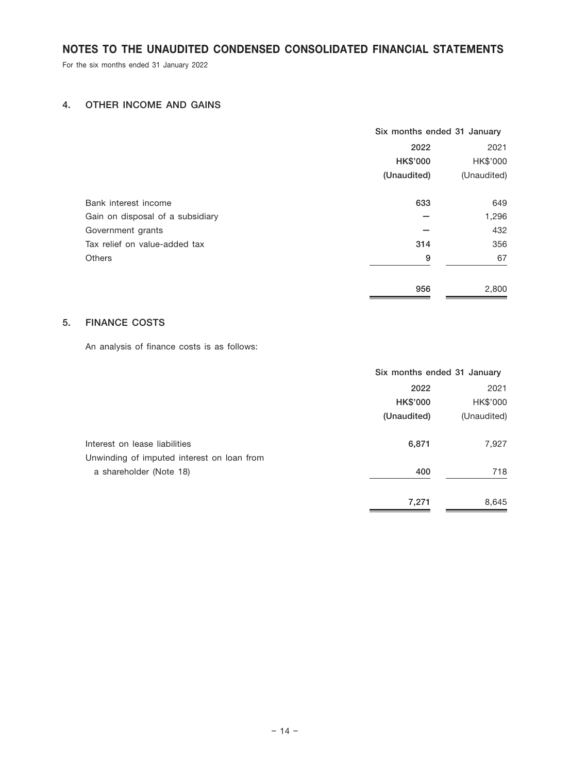For the six months ended 31 January 2022

# 4. OTHER INCOME AND GAINS

|                                  | Six months ended 31 January |             |  |
|----------------------------------|-----------------------------|-------------|--|
|                                  | 2022                        |             |  |
|                                  | <b>HK\$'000</b>             | HK\$'000    |  |
|                                  | (Unaudited)                 | (Unaudited) |  |
| Bank interest income             | 633                         | 649         |  |
| Gain on disposal of a subsidiary |                             | 1,296       |  |
| Government grants                |                             | 432         |  |
| Tax relief on value-added tax    | 314                         | 356         |  |
| <b>Others</b>                    | 9                           | 67          |  |
|                                  | 956                         | 2,800       |  |

# 5. FINANCE COSTS

An analysis of finance costs is as follows:

|                                            | Six months ended 31 January |             |  |
|--------------------------------------------|-----------------------------|-------------|--|
|                                            | 2022                        |             |  |
|                                            | <b>HK\$'000</b>             | HK\$'000    |  |
|                                            | (Unaudited)                 | (Unaudited) |  |
| Interest on lease liabilities              | 6,871                       | 7,927       |  |
| Unwinding of imputed interest on loan from |                             |             |  |
| a shareholder (Note 18)                    | 400                         | 718         |  |
|                                            | 7,271                       | 8,645       |  |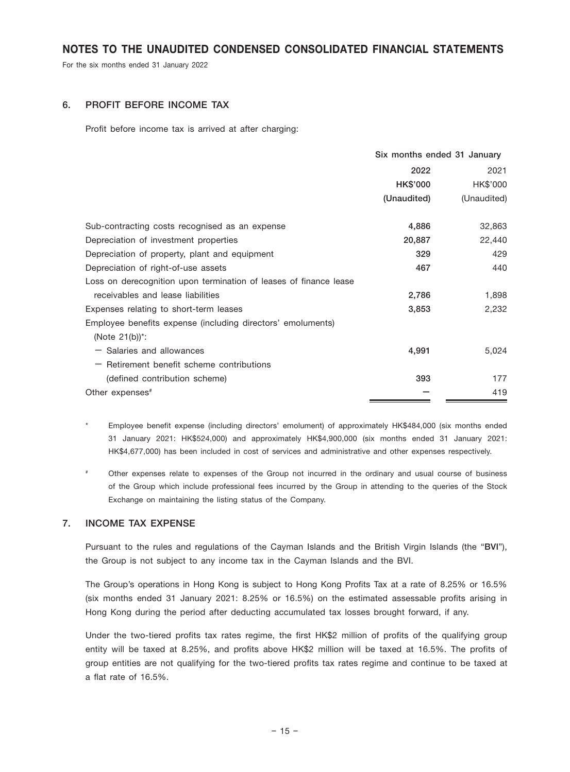For the six months ended 31 January 2022

### 6. PROFIT BEFORE INCOME TAX

Profit before income tax is arrived at after charging:

|                                                                   | Six months ended 31 January |             |  |
|-------------------------------------------------------------------|-----------------------------|-------------|--|
|                                                                   | 2022                        | 2021        |  |
|                                                                   | HK\$'000                    | HK\$'000    |  |
|                                                                   | (Unaudited)                 | (Unaudited) |  |
| Sub-contracting costs recognised as an expense                    | 4,886                       | 32,863      |  |
| Depreciation of investment properties                             | 20,887                      | 22,440      |  |
| Depreciation of property, plant and equipment                     | 329                         | 429         |  |
| Depreciation of right-of-use assets                               | 467                         | 440         |  |
| Loss on derecognition upon termination of leases of finance lease |                             |             |  |
| receivables and lease liabilities                                 | 2,786                       | 1,898       |  |
| Expenses relating to short-term leases                            | 3,853                       | 2,232       |  |
| Employee benefits expense (including directors' emoluments)       |                             |             |  |
| (Note $21(b)$ ) <sup>*</sup> :                                    |                             |             |  |
| $-$ Salaries and allowances                                       | 4,991                       | 5,024       |  |
| $-$ Retirement benefit scheme contributions                       |                             |             |  |
| (defined contribution scheme)                                     | 393                         | 177         |  |
| Other expenses <sup>#</sup>                                       |                             | 419         |  |

Employee benefit expense (including directors' emolument) of approximately HK\$484,000 (six months ended 31 January 2021: HK\$524,000) and approximately HK\$4,900,000 (six months ended 31 January 2021: HK\$4,677,000) has been included in cost of services and administrative and other expenses respectively.

# Other expenses relate to expenses of the Group not incurred in the ordinary and usual course of business of the Group which include professional fees incurred by the Group in attending to the queries of the Stock Exchange on maintaining the listing status of the Company.

### 7. INCOME TAX EXPENSE

Pursuant to the rules and regulations of the Cayman Islands and the British Virgin Islands (the "BVI"), the Group is not subject to any income tax in the Cayman Islands and the BVI.

The Group's operations in Hong Kong is subject to Hong Kong Profits Tax at a rate of 8.25% or 16.5% (six months ended 31 January 2021: 8.25% or 16.5%) on the estimated assessable profits arising in Hong Kong during the period after deducting accumulated tax losses brought forward, if any.

Under the two-tiered profits tax rates regime, the first HK\$2 million of profits of the qualifying group entity will be taxed at 8.25%, and profits above HK\$2 million will be taxed at 16.5%. The profits of group entities are not qualifying for the two-tiered profits tax rates regime and continue to be taxed at a flat rate of 16.5%.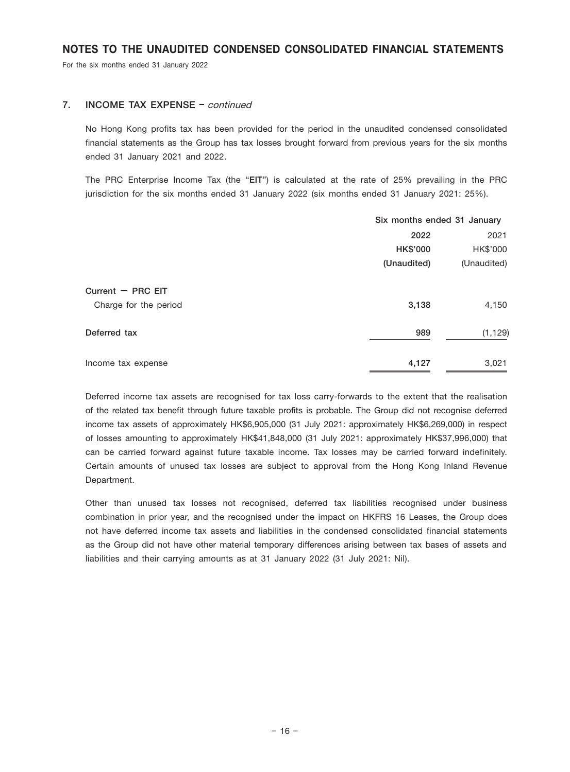For the six months ended 31 January 2022

### 7. **INCOME TAX EXPENSE** – continued

No Hong Kong profits tax has been provided for the period in the unaudited condensed consolidated financial statements as the Group has tax losses brought forward from previous years for the six months ended 31 January 2021 and 2022.

The PRC Enterprise Income Tax (the "EIT") is calculated at the rate of 25% prevailing in the PRC jurisdiction for the six months ended 31 January 2022 (six months ended 31 January 2021: 25%).

|                       | Six months ended 31 January |             |
|-----------------------|-----------------------------|-------------|
|                       | 2022                        | 2021        |
|                       | <b>HK\$'000</b>             | HK\$'000    |
|                       | (Unaudited)                 | (Unaudited) |
| Current $-$ PRC EIT   |                             |             |
| Charge for the period | 3,138                       | 4,150       |
| Deferred tax          | 989                         | (1, 129)    |
| Income tax expense    | 4,127                       | 3,021       |

Deferred income tax assets are recognised for tax loss carry-forwards to the extent that the realisation of the related tax benefit through future taxable profits is probable. The Group did not recognise deferred income tax assets of approximately HK\$6,905,000 (31 July 2021: approximately HK\$6,269,000) in respect of losses amounting to approximately HK\$41,848,000 (31 July 2021: approximately HK\$37,996,000) that can be carried forward against future taxable income. Tax losses may be carried forward indefinitely. Certain amounts of unused tax losses are subject to approval from the Hong Kong Inland Revenue Department.

Other than unused tax losses not recognised, deferred tax liabilities recognised under business combination in prior year, and the recognised under the impact on HKFRS 16 Leases, the Group does not have deferred income tax assets and liabilities in the condensed consolidated financial statements as the Group did not have other material temporary differences arising between tax bases of assets and liabilities and their carrying amounts as at 31 January 2022 (31 July 2021: Nil).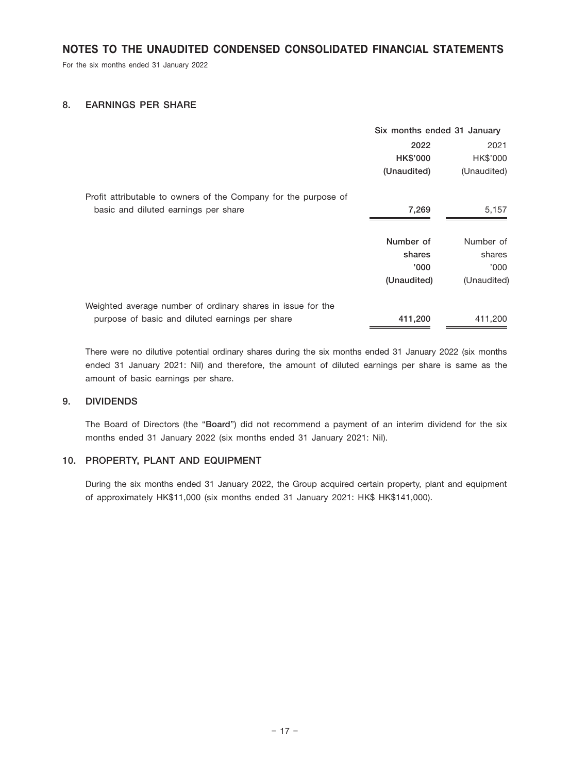For the six months ended 31 January 2022

## 8. EARNINGS PER SHARE

|                                                                 | Six months ended 31 January |             |
|-----------------------------------------------------------------|-----------------------------|-------------|
|                                                                 | 2022                        | 2021        |
|                                                                 | <b>HK\$'000</b>             | HK\$'000    |
|                                                                 | (Unaudited)                 | (Unaudited) |
| Profit attributable to owners of the Company for the purpose of |                             |             |
| basic and diluted earnings per share                            | 7,269                       | 5,157       |
|                                                                 | Number of                   | Number of   |
|                                                                 | shares                      | shares      |
|                                                                 | '000                        | '000        |
|                                                                 | (Unaudited)                 | (Unaudited) |
| Weighted average number of ordinary shares in issue for the     |                             |             |
| purpose of basic and diluted earnings per share                 | 411,200                     | 411,200     |

There were no dilutive potential ordinary shares during the six months ended 31 January 2022 (six months ended 31 January 2021: Nil) and therefore, the amount of diluted earnings per share is same as the amount of basic earnings per share.

## 9. DIVIDENDS

The Board of Directors (the "Board") did not recommend a payment of an interim dividend for the six months ended 31 January 2022 (six months ended 31 January 2021: Nil).

## 10. PROPERTY, PLANT AND EQUIPMENT

During the six months ended 31 January 2022, the Group acquired certain property, plant and equipment of approximately HK\$11,000 (six months ended 31 January 2021: HK\$ HK\$141,000).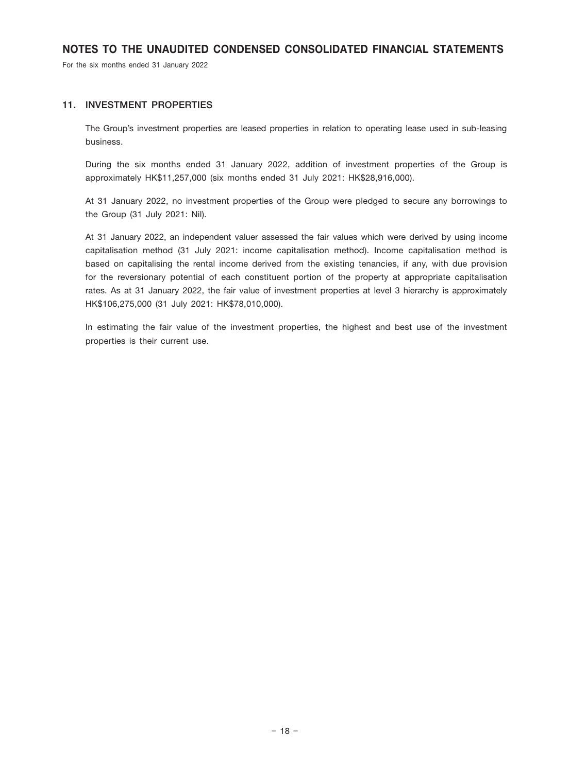For the six months ended 31 January 2022

### 11. INVESTMENT PROPERTIES

The Group's investment properties are leased properties in relation to operating lease used in sub-leasing business.

During the six months ended 31 January 2022, addition of investment properties of the Group is approximately HK\$11,257,000 (six months ended 31 July 2021: HK\$28,916,000).

At 31 January 2022, no investment properties of the Group were pledged to secure any borrowings to the Group (31 July 2021: Nil).

At 31 January 2022, an independent valuer assessed the fair values which were derived by using income capitalisation method (31 July 2021: income capitalisation method). Income capitalisation method is based on capitalising the rental income derived from the existing tenancies, if any, with due provision for the reversionary potential of each constituent portion of the property at appropriate capitalisation rates. As at 31 January 2022, the fair value of investment properties at level 3 hierarchy is approximately HK\$106,275,000 (31 July 2021: HK\$78,010,000).

In estimating the fair value of the investment properties, the highest and best use of the investment properties is their current use.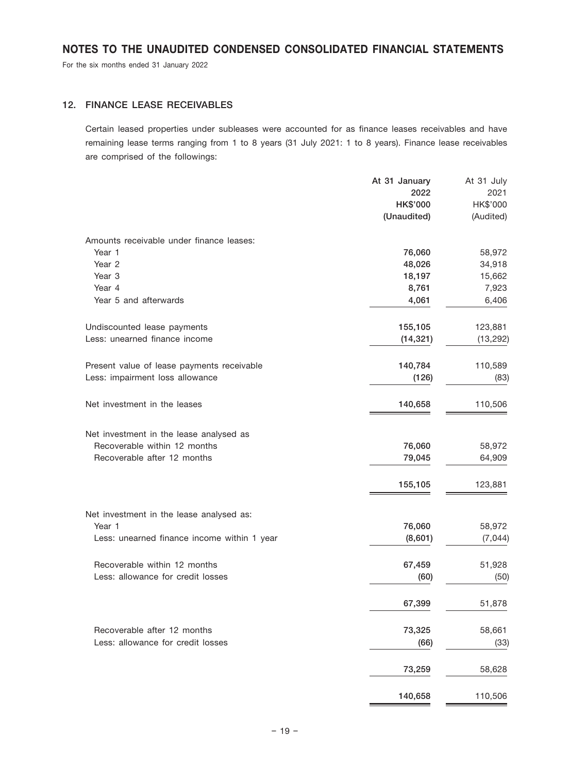For the six months ended 31 January 2022

# 12. FINANCE LEASE RECEIVABLES

Certain leased properties under subleases were accounted for as finance leases receivables and have remaining lease terms ranging from 1 to 8 years (31 July 2021: 1 to 8 years). Finance lease receivables are comprised of the followings:

|                                             | At 31 January   | At 31 July |
|---------------------------------------------|-----------------|------------|
|                                             | 2022            | 2021       |
|                                             | <b>HK\$'000</b> | HK\$'000   |
|                                             | (Unaudited)     | (Audited)  |
| Amounts receivable under finance leases:    |                 |            |
| Year 1                                      | 76,060          | 58,972     |
| Year <sub>2</sub>                           | 48,026          | 34,918     |
| Year <sub>3</sub>                           | 18,197          | 15,662     |
| Year 4                                      | 8,761           | 7,923      |
| Year 5 and afterwards                       | 4,061           | 6,406      |
| Undiscounted lease payments                 | 155,105         | 123,881    |
| Less: unearned finance income               | (14, 321)       | (13, 292)  |
| Present value of lease payments receivable  | 140,784         | 110,589    |
| Less: impairment loss allowance             | (126)           | (83)       |
| Net investment in the leases                | 140,658         | 110,506    |
|                                             |                 |            |
| Net investment in the lease analysed as     |                 |            |
| Recoverable within 12 months                | 76,060          | 58,972     |
| Recoverable after 12 months                 | 79,045          | 64,909     |
|                                             | 155,105         | 123,881    |
| Net investment in the lease analysed as:    |                 |            |
| Year 1                                      | 76,060          | 58,972     |
| Less: unearned finance income within 1 year | (8,601)         | (7,044)    |
| Recoverable within 12 months                | 67,459          | 51,928     |
| Less: allowance for credit losses           | (60)            | (50)       |
|                                             | 67,399          | 51,878     |
| Recoverable after 12 months                 | 73,325          | 58,661     |
| Less: allowance for credit losses           | (66)            | (33)       |
|                                             | 73,259          | 58,628     |
|                                             | 140,658         | 110,506    |
|                                             |                 |            |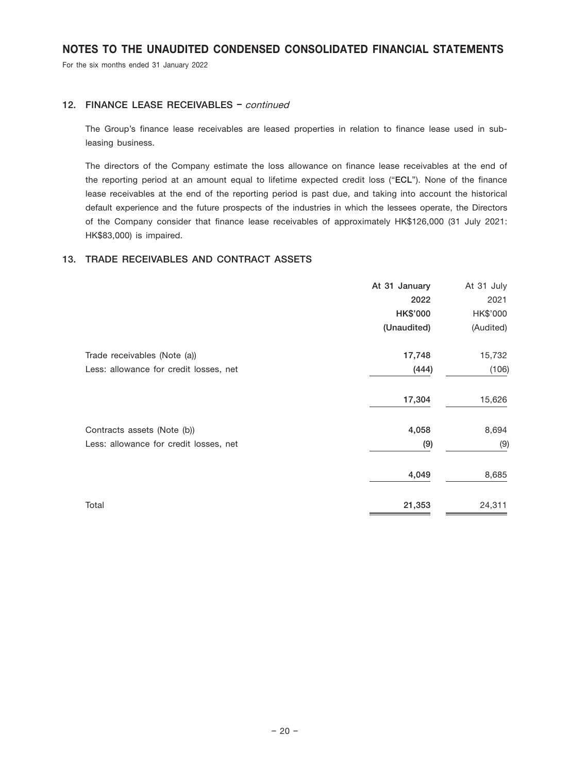For the six months ended 31 January 2022

# 12. FINANCE LEASE RECEIVABLES - continued

The Group's finance lease receivables are leased properties in relation to finance lease used in subleasing business.

The directors of the Company estimate the loss allowance on finance lease receivables at the end of the reporting period at an amount equal to lifetime expected credit loss ("ECL"). None of the finance lease receivables at the end of the reporting period is past due, and taking into account the historical default experience and the future prospects of the industries in which the lessees operate, the Directors of the Company consider that finance lease receivables of approximately HK\$126,000 (31 July 2021: HK\$83,000) is impaired.

## 13. TRADE RECEIVABLES AND CONTRACT ASSETS

| At 31 January   | At 31 July |
|-----------------|------------|
| 2022            | 2021       |
| <b>HK\$'000</b> | HK\$'000   |
| (Unaudited)     | (Audited)  |
| 17,748          | 15,732     |
| (444)           | (106)      |
| 17,304          | 15,626     |
| 4,058           | 8,694      |
| (9)             | (9)        |
| 4,049           | 8,685      |
| 21,353          | 24,311     |
|                 |            |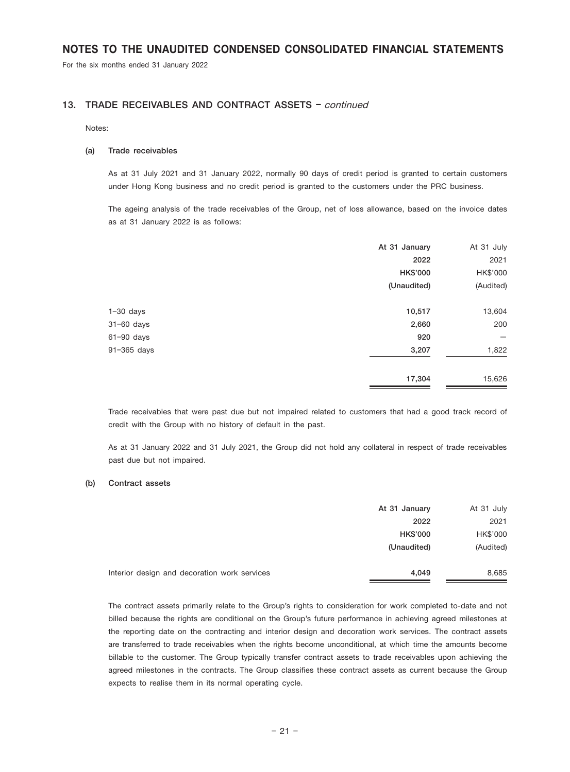For the six months ended 31 January 2022

#### 13. TRADE RECEIVABLES AND CONTRACT ASSETS - continued

#### Notes:

#### (a) Trade receivables

As at 31 July 2021 and 31 January 2022, normally 90 days of credit period is granted to certain customers under Hong Kong business and no credit period is granted to the customers under the PRC business.

The ageing analysis of the trade receivables of the Group, net of loss allowance, based on the invoice dates as at 31 January 2022 is as follows:

|                | At 31 January | At 31 July |
|----------------|---------------|------------|
|                | 2022          | 2021       |
|                | HK\$'000      | HK\$'000   |
|                | (Unaudited)   | (Audited)  |
| $1-30$ days    | 10,517        | 13,604     |
| $31 - 60$ days | 2,660         | 200        |
| $61 - 90$ days | 920           |            |
| 91-365 days    | 3,207         | 1,822      |
|                | 17,304        | 15,626     |

Trade receivables that were past due but not impaired related to customers that had a good track record of credit with the Group with no history of default in the past.

As at 31 January 2022 and 31 July 2021, the Group did not hold any collateral in respect of trade receivables past due but not impaired.

#### (b) Contract assets

|                                              | At 31 January   | At 31 July |
|----------------------------------------------|-----------------|------------|
|                                              | 2022            | 2021       |
|                                              | <b>HK\$'000</b> | HK\$'000   |
|                                              | (Unaudited)     | (Audited)  |
| Interior design and decoration work services | 4.049           | 8,685      |

The contract assets primarily relate to the Group's rights to consideration for work completed to-date and not billed because the rights are conditional on the Group's future performance in achieving agreed milestones at the reporting date on the contracting and interior design and decoration work services. The contract assets are transferred to trade receivables when the rights become unconditional, at which time the amounts become billable to the customer. The Group typically transfer contract assets to trade receivables upon achieving the agreed milestones in the contracts. The Group classifies these contract assets as current because the Group expects to realise them in its normal operating cycle.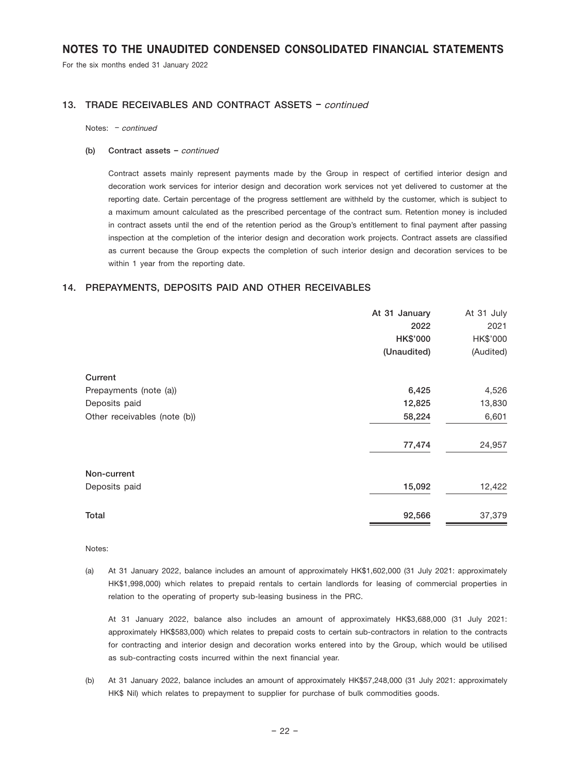For the six months ended 31 January 2022

#### 13. TRADE RECEIVABLES AND CONTRACT ASSETS - continued

Notes: – continued

#### (b) Contract assets – continued

Contract assets mainly represent payments made by the Group in respect of certified interior design and decoration work services for interior design and decoration work services not yet delivered to customer at the reporting date. Certain percentage of the progress settlement are withheld by the customer, which is subject to a maximum amount calculated as the prescribed percentage of the contract sum. Retention money is included in contract assets until the end of the retention period as the Group's entitlement to final payment after passing inspection at the completion of the interior design and decoration work projects. Contract assets are classified as current because the Group expects the completion of such interior design and decoration services to be within 1 year from the reporting date.

#### 14. PREPAYMENTS, DEPOSITS PAID AND OTHER RECEIVABLES

| 2022<br>HK\$'000<br>(Unaudited)<br>Current<br>6,425<br>Prepayments (note (a))<br>12,825<br>Deposits paid<br>58,224<br>Other receivables (note (b))<br>77,474<br>Non-current | At 31 January<br>At 31 July |               |
|-----------------------------------------------------------------------------------------------------------------------------------------------------------------------------|-----------------------------|---------------|
|                                                                                                                                                                             | 2021                        |               |
|                                                                                                                                                                             | HK\$'000                    |               |
|                                                                                                                                                                             | (Audited)                   |               |
|                                                                                                                                                                             |                             |               |
|                                                                                                                                                                             | 4,526                       |               |
|                                                                                                                                                                             | 13,830                      |               |
|                                                                                                                                                                             | 6,601                       |               |
|                                                                                                                                                                             | 24,957                      |               |
|                                                                                                                                                                             |                             |               |
|                                                                                                                                                                             | 15,092<br>12,422            | Deposits paid |
| Total<br>92,566                                                                                                                                                             | 37,379                      |               |

Notes:

(a) At 31 January 2022, balance includes an amount of approximately HK\$1,602,000 (31 July 2021: approximately HK\$1,998,000) which relates to prepaid rentals to certain landlords for leasing of commercial properties in relation to the operating of property sub-leasing business in the PRC.

At 31 January 2022, balance also includes an amount of approximately HK\$3,688,000 (31 July 2021: approximately HK\$583,000) which relates to prepaid costs to certain sub-contractors in relation to the contracts for contracting and interior design and decoration works entered into by the Group, which would be utilised as sub-contracting costs incurred within the next financial year.

(b) At 31 January 2022, balance includes an amount of approximately HK\$57,248,000 (31 July 2021: approximately HK\$ Nil) which relates to prepayment to supplier for purchase of bulk commodities goods.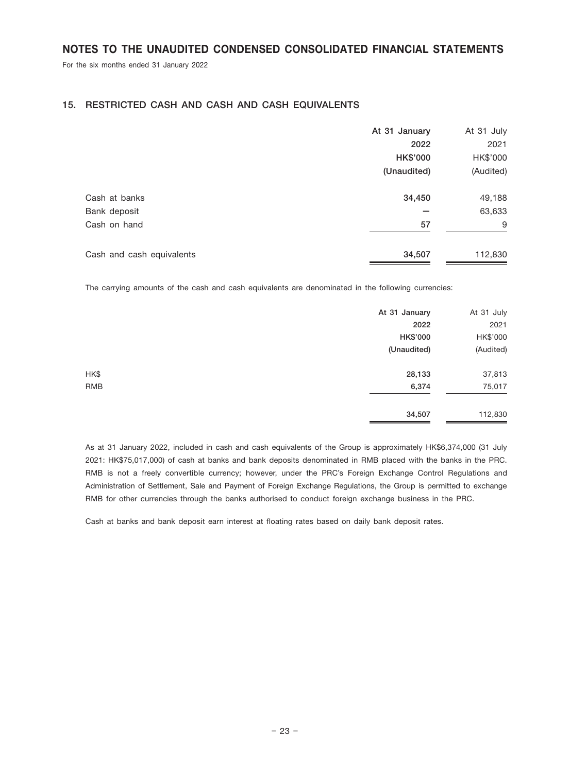For the six months ended 31 January 2022

## 15. RESTRICTED CASH AND CASH AND CASH EQUIVALENTS

|                           | At 31 January   | At 31 July |
|---------------------------|-----------------|------------|
|                           | 2022            | 2021       |
|                           | <b>HK\$'000</b> | HK\$'000   |
|                           | (Unaudited)     | (Audited)  |
| Cash at banks             | 34,450          | 49,188     |
| Bank deposit              |                 | 63,633     |
| Cash on hand              | 57              | 9          |
| Cash and cash equivalents | 34,507          | 112,830    |

The carrying amounts of the cash and cash equivalents are denominated in the following currencies:

|            | At 31 January   | At 31 July |
|------------|-----------------|------------|
|            | 2022            | 2021       |
|            | <b>HK\$'000</b> | HK\$'000   |
|            | (Unaudited)     | (Audited)  |
| HK\$       | 28,133          | 37,813     |
| <b>RMB</b> | 6,374           | 75,017     |
|            | 34,507          | 112,830    |

As at 31 January 2022, included in cash and cash equivalents of the Group is approximately HK\$6,374,000 (31 July 2021: HK\$75,017,000) of cash at banks and bank deposits denominated in RMB placed with the banks in the PRC. RMB is not a freely convertible currency; however, under the PRC's Foreign Exchange Control Regulations and Administration of Settlement, Sale and Payment of Foreign Exchange Regulations, the Group is permitted to exchange RMB for other currencies through the banks authorised to conduct foreign exchange business in the PRC.

Cash at banks and bank deposit earn interest at floating rates based on daily bank deposit rates.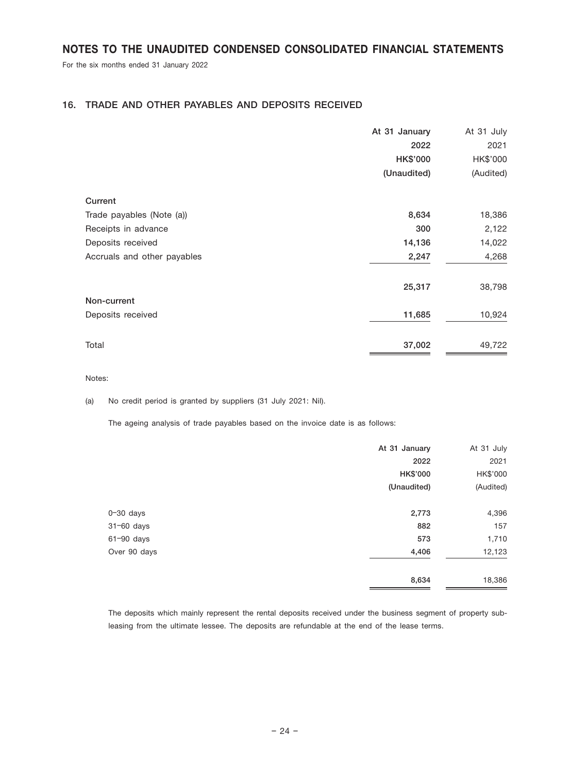For the six months ended 31 January 2022

## 16. TRADE AND OTHER PAYABLES AND DEPOSITS RECEIVED

|                             | At 31 January   | At 31 July |
|-----------------------------|-----------------|------------|
|                             | 2022            | 2021       |
|                             | <b>HK\$'000</b> | HK\$'000   |
|                             | (Unaudited)     | (Audited)  |
| Current                     |                 |            |
| Trade payables (Note (a))   | 8,634           | 18,386     |
| Receipts in advance         | 300             | 2,122      |
| Deposits received           | 14,136          | 14,022     |
| Accruals and other payables | 2,247           | 4,268      |
|                             | 25,317          | 38,798     |
| Non-current                 |                 |            |
| Deposits received           | 11,685          | 10,924     |
| Total                       | 37,002          | 49,722     |

Notes:

(a) No credit period is granted by suppliers (31 July 2021: Nil).

The ageing analysis of trade payables based on the invoice date is as follows:

|               | At 31 January | At 31 July |
|---------------|---------------|------------|
|               | 2022          | 2021       |
|               | HK\$'000      | HK\$'000   |
|               | (Unaudited)   | (Audited)  |
| $0 - 30$ days | 2,773         | 4,396      |
| 31-60 days    | 882           | 157        |
| 61-90 days    | 573           | 1,710      |
| Over 90 days  | 4,406         | 12,123     |
|               | 8,634         | 18,386     |

The deposits which mainly represent the rental deposits received under the business segment of property subleasing from the ultimate lessee. The deposits are refundable at the end of the lease terms.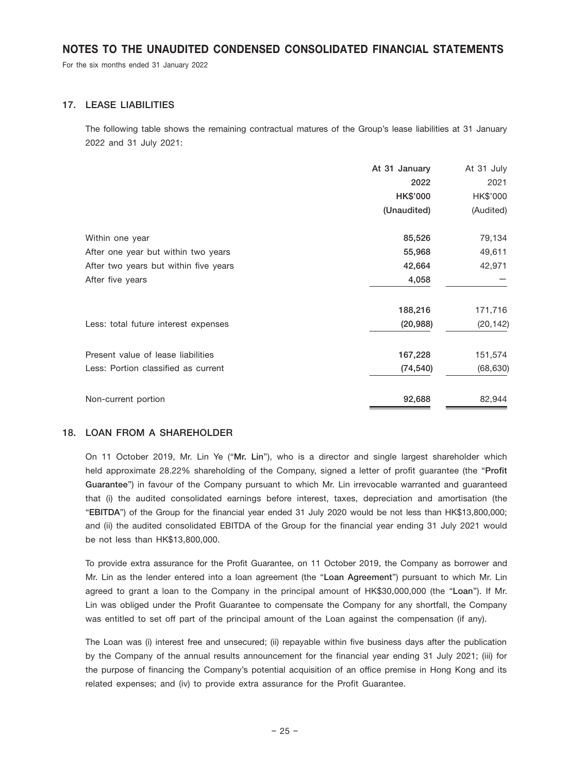For the six months ended 31 January 2022

### 17. LEASE LIABILITIES

The following table shows the remaining contractual matures of the Group's lease liabilities at 31 January 2022 and 31 July 2021:

|                                       | At 31 January | At 31 July |
|---------------------------------------|---------------|------------|
|                                       | 2022          | 2021       |
|                                       | HK\$'000      | HK\$'000   |
|                                       | (Unaudited)   | (Audited)  |
| Within one year                       | 85,526        | 79,134     |
| After one year but within two years   | 55,968        | 49,611     |
| After two years but within five years | 42,664        | 42,971     |
| After five years                      | 4,058         |            |
|                                       | 188,216       | 171,716    |
| Less: total future interest expenses  | (20, 988)     | (20, 142)  |
| Present value of lease liabilities    | 167,228       | 151,574    |
| Less: Portion classified as current   | (74, 540)     | (68, 630)  |
| Non-current portion                   | 92,688        | 82,944     |

#### 18. LOAN FROM A SHAREHOLDER

On 11 October 2019, Mr. Lin Ye ("Mr. Lin"), who is a director and single largest shareholder which held approximate 28.22% shareholding of the Company, signed a letter of profit guarantee (the "Profit Guarantee") in favour of the Company pursuant to which Mr. Lin irrevocable warranted and guaranteed that (i) the audited consolidated earnings before interest, taxes, depreciation and amortisation (the "EBITDA") of the Group for the financial year ended 31 July 2020 would be not less than HK\$13,800,000; and (ii) the audited consolidated EBITDA of the Group for the financial year ending 31 July 2021 would be not less than HK\$13,800,000.

To provide extra assurance for the Profit Guarantee, on 11 October 2019, the Company as borrower and Mr. Lin as the lender entered into a loan agreement (the "Loan Agreement") pursuant to which Mr. Lin agreed to grant a loan to the Company in the principal amount of HK\$30,000,000 (the "Loan"). If Mr. Lin was obliged under the Profit Guarantee to compensate the Company for any shortfall, the Company was entitled to set off part of the principal amount of the Loan against the compensation (if any).

The Loan was (i) interest free and unsecured; (ii) repayable within five business days after the publication by the Company of the annual results announcement for the financial year ending 31 July 2021; (iii) for the purpose of financing the Company's potential acquisition of an office premise in Hong Kong and its related expenses; and (iv) to provide extra assurance for the Profit Guarantee.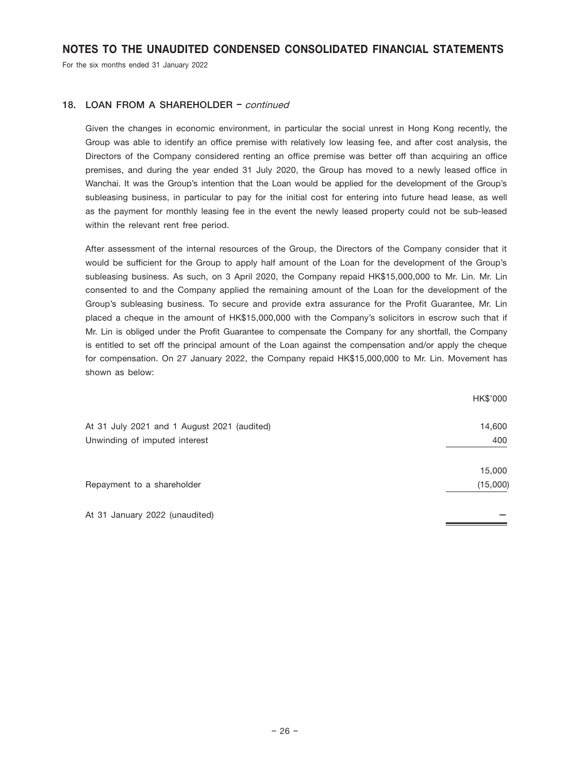For the six months ended 31 January 2022

### 18. LOAN FROM A SHAREHOLDER - continued

Given the changes in economic environment, in particular the social unrest in Hong Kong recently, the Group was able to identify an office premise with relatively low leasing fee, and after cost analysis, the Directors of the Company considered renting an office premise was better off than acquiring an office premises, and during the year ended 31 July 2020, the Group has moved to a newly leased office in Wanchai. It was the Group's intention that the Loan would be applied for the development of the Group's subleasing business, in particular to pay for the initial cost for entering into future head lease, as well as the payment for monthly leasing fee in the event the newly leased property could not be sub-leased within the relevant rent free period.

After assessment of the internal resources of the Group, the Directors of the Company consider that it would be sufficient for the Group to apply half amount of the Loan for the development of the Group's subleasing business. As such, on 3 April 2020, the Company repaid HK\$15,000,000 to Mr. Lin. Mr. Lin consented to and the Company applied the remaining amount of the Loan for the development of the Group's subleasing business. To secure and provide extra assurance for the Profit Guarantee, Mr. Lin placed a cheque in the amount of HK\$15,000,000 with the Company's solicitors in escrow such that if Mr. Lin is obliged under the Profit Guarantee to compensate the Company for any shortfall, the Company is entitled to set off the principal amount of the Loan against the compensation and/or apply the cheque for compensation. On 27 January 2022, the Company repaid HK\$15,000,000 to Mr. Lin. Movement has shown as below:

|                                             | HK\$'000 |
|---------------------------------------------|----------|
| At 31 July 2021 and 1 August 2021 (audited) | 14,600   |
| Unwinding of imputed interest               | 400      |
|                                             | 15,000   |
| Repayment to a shareholder                  | (15,000) |
| At 31 January 2022 (unaudited)              |          |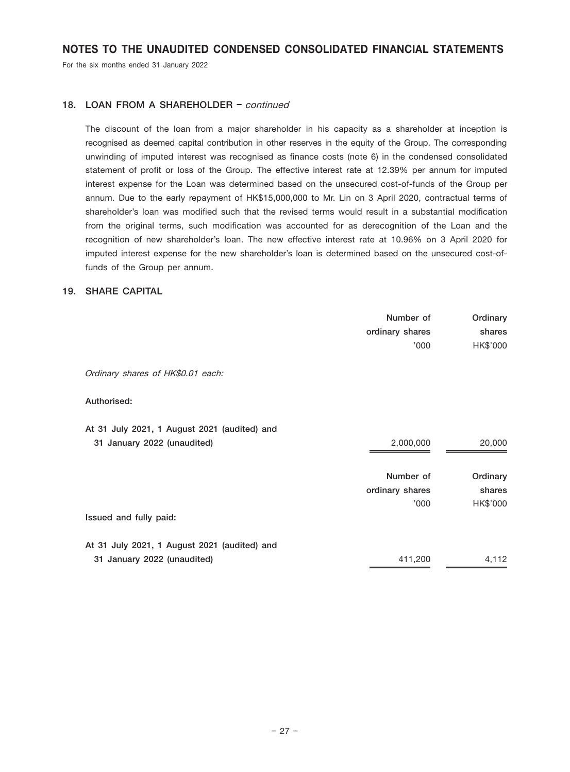For the six months ended 31 January 2022

## 18. LOAN FROM A SHAREHOLDER - continued

The discount of the loan from a major shareholder in his capacity as a shareholder at inception is recognised as deemed capital contribution in other reserves in the equity of the Group. The corresponding unwinding of imputed interest was recognised as finance costs (note 6) in the condensed consolidated statement of profit or loss of the Group. The effective interest rate at 12.39% per annum for imputed interest expense for the Loan was determined based on the unsecured cost-of-funds of the Group per annum. Due to the early repayment of HK\$15,000,000 to Mr. Lin on 3 April 2020, contractual terms of shareholder's loan was modified such that the revised terms would result in a substantial modification from the original terms, such modification was accounted for as derecognition of the Loan and the recognition of new shareholder's loan. The new effective interest rate at 10.96% on 3 April 2020 for imputed interest expense for the new shareholder's loan is determined based on the unsecured cost-offunds of the Group per annum.

## 19. SHARE CAPITAL

|                                              | Number of       | Ordinary |
|----------------------------------------------|-----------------|----------|
|                                              | ordinary shares | shares   |
|                                              | '000'           | HK\$'000 |
|                                              |                 |          |
| Ordinary shares of HK\$0.01 each:            |                 |          |
|                                              |                 |          |
| Authorised:                                  |                 |          |
|                                              |                 |          |
| At 31 July 2021, 1 August 2021 (audited) and |                 |          |
| 31 January 2022 (unaudited)                  | 2,000,000       | 20,000   |
|                                              |                 |          |
|                                              | Number of       | Ordinary |
|                                              | ordinary shares | shares   |
|                                              | 000'            | HK\$'000 |
| Issued and fully paid:                       |                 |          |
|                                              |                 |          |
| At 31 July 2021, 1 August 2021 (audited) and |                 |          |
| 31 January 2022 (unaudited)                  | 411,200         | 4,112    |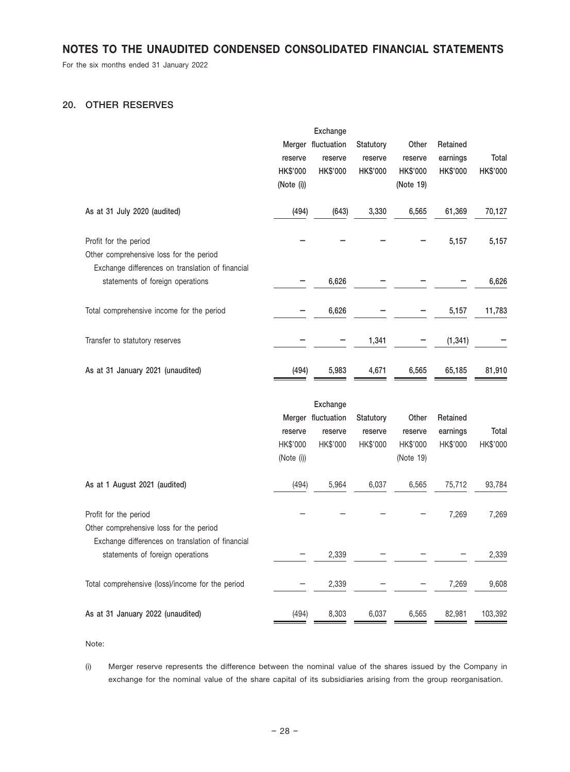For the six months ended 31 January 2022

# 20. OTHER RESERVES

|                                                                  |            | Exchange           |                 |                 |          |          |
|------------------------------------------------------------------|------------|--------------------|-----------------|-----------------|----------|----------|
|                                                                  |            | Merger fluctuation | Statutory       | Other           | Retained |          |
|                                                                  | reserve    | reserve            | reserve         | reserve         | earnings | Total    |
|                                                                  | HK\$'000   | <b>HK\$'000</b>    | <b>HK\$'000</b> | <b>HK\$'000</b> | HK\$'000 | HK\$'000 |
|                                                                  | (Note (i)) |                    |                 | (Note 19)       |          |          |
| As at 31 July 2020 (audited)                                     | (494)      | (643)              | 3,330           | 6,565           | 61,369   | 70,127   |
| Profit for the period                                            |            |                    |                 |                 | 5,157    | 5,157    |
| Other comprehensive loss for the period                          |            |                    |                 |                 |          |          |
| Exchange differences on translation of financial                 |            |                    |                 |                 |          |          |
| statements of foreign operations                                 |            | 6,626              |                 |                 |          | 6,626    |
| Total comprehensive income for the period                        |            | 6,626              |                 |                 | 5,157    | 11,783   |
| Transfer to statutory reserves                                   |            |                    | 1,341           |                 | (1, 341) |          |
| As at 31 January 2021 (unaudited)                                | (494)      | 5,983              | 4,671           | 6,565           | 65,185   | 81,910   |
|                                                                  |            | Exchange           |                 |                 |          |          |
|                                                                  |            | Merger fluctuation | Statutory       | Other           | Retained |          |
|                                                                  | reserve    | reserve            | reserve         | reserve         | earnings | Total    |
|                                                                  | HK\$'000   | HK\$'000           | HK\$'000        | HK\$'000        | HK\$'000 | HK\$'000 |
|                                                                  | (Note (i)) |                    |                 | (Note 19)       |          |          |
| As at 1 August 2021 (audited)                                    | (494)      | 5,964              | 6,037           | 6,565           | 75,712   | 93,784   |
| Profit for the period<br>Other comprehensive loss for the period |            |                    |                 |                 | 7,269    | 7,269    |
| Exchange differences on translation of financial                 |            |                    |                 |                 |          |          |
| statements of foreign operations                                 |            | 2,339              |                 |                 |          | 2,339    |
| Total comprehensive (loss)/income for the period                 |            | 2,339              |                 |                 | 7,269    | 9,608    |
| As at 31 January 2022 (unaudited)                                | (494)      | 8,303              | 6,037           | 6,565           | 82,981   | 103,392  |
|                                                                  |            |                    |                 |                 |          |          |

Note:

(i) Merger reserve represents the difference between the nominal value of the shares issued by the Company in exchange for the nominal value of the share capital of its subsidiaries arising from the group reorganisation.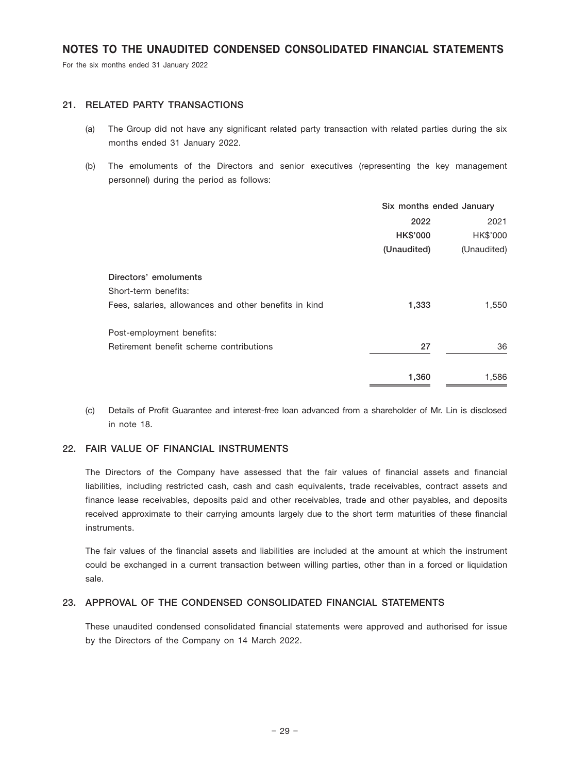For the six months ended 31 January 2022

### 21. RELATED PARTY TRANSACTIONS

- (a) The Group did not have any significant related party transaction with related parties during the six months ended 31 January 2022.
- (b) The emoluments of the Directors and senior executives (representing the key management personnel) during the period as follows:

|                 | 2021        |
|-----------------|-------------|
| <b>HK\$'000</b> | HK\$'000    |
| (Unaudited)     | (Unaudited) |
|                 |             |
|                 |             |
| 1,333           | 1,550       |
|                 |             |
| 27              | 36          |
| 1,360           | 1,586       |
|                 | 2022        |

(c) Details of Profit Guarantee and interest-free loan advanced from a shareholder of Mr. Lin is disclosed in note 18.

### 22. FAIR VALUE OF FINANCIAL INSTRUMENTS

The Directors of the Company have assessed that the fair values of financial assets and financial liabilities, including restricted cash, cash and cash equivalents, trade receivables, contract assets and finance lease receivables, deposits paid and other receivables, trade and other payables, and deposits received approximate to their carrying amounts largely due to the short term maturities of these financial instruments.

The fair values of the financial assets and liabilities are included at the amount at which the instrument could be exchanged in a current transaction between willing parties, other than in a forced or liquidation sale.

## 23. APPROVAL OF THE CONDENSED CONSOLIDATED FINANCIAL STATEMENTS

These unaudited condensed consolidated financial statements were approved and authorised for issue by the Directors of the Company on 14 March 2022.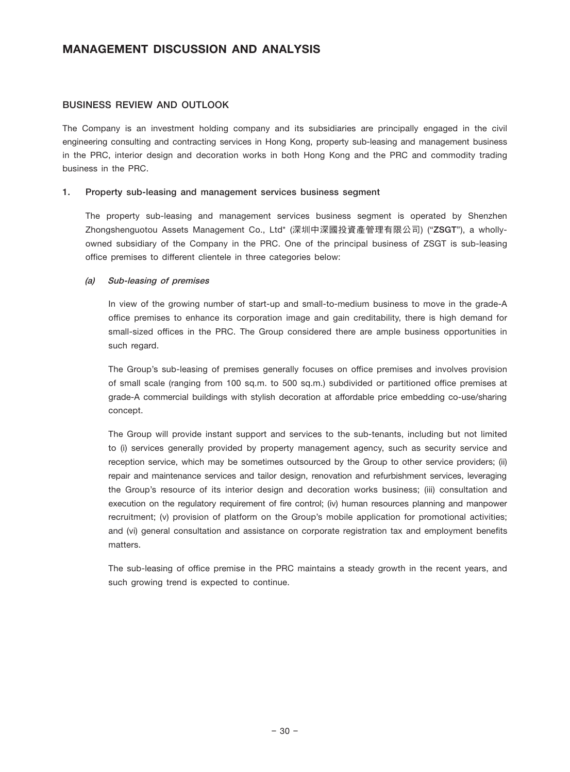#### BUSINESS REVIEW AND OUTLOOK

The Company is an investment holding company and its subsidiaries are principally engaged in the civil engineering consulting and contracting services in Hong Kong, property sub-leasing and management business in the PRC, interior design and decoration works in both Hong Kong and the PRC and commodity trading business in the PRC.

#### 1. Property sub-leasing and management services business segment

The property sub-leasing and management services business segment is operated by Shenzhen Zhongshenguotou Assets Management Co., Ltd\* (深圳中深國投資產管理有限公司) ("ZSGT"), a whollyowned subsidiary of the Company in the PRC. One of the principal business of ZSGT is sub-leasing office premises to different clientele in three categories below:

#### (a) Sub-leasing of premises

In view of the growing number of start-up and small-to-medium business to move in the grade-A office premises to enhance its corporation image and gain creditability, there is high demand for small-sized offices in the PRC. The Group considered there are ample business opportunities in such regard.

The Group's sub-leasing of premises generally focuses on office premises and involves provision of small scale (ranging from 100 sq.m. to 500 sq.m.) subdivided or partitioned office premises at grade-A commercial buildings with stylish decoration at affordable price embedding co-use/sharing concept.

The Group will provide instant support and services to the sub-tenants, including but not limited to (i) services generally provided by property management agency, such as security service and reception service, which may be sometimes outsourced by the Group to other service providers; (ii) repair and maintenance services and tailor design, renovation and refurbishment services, leveraging the Group's resource of its interior design and decoration works business; (iii) consultation and execution on the regulatory requirement of fire control; (iv) human resources planning and manpower recruitment; (v) provision of platform on the Group's mobile application for promotional activities; and (vi) general consultation and assistance on corporate registration tax and employment benefits matters.

The sub-leasing of office premise in the PRC maintains a steady growth in the recent years, and such growing trend is expected to continue.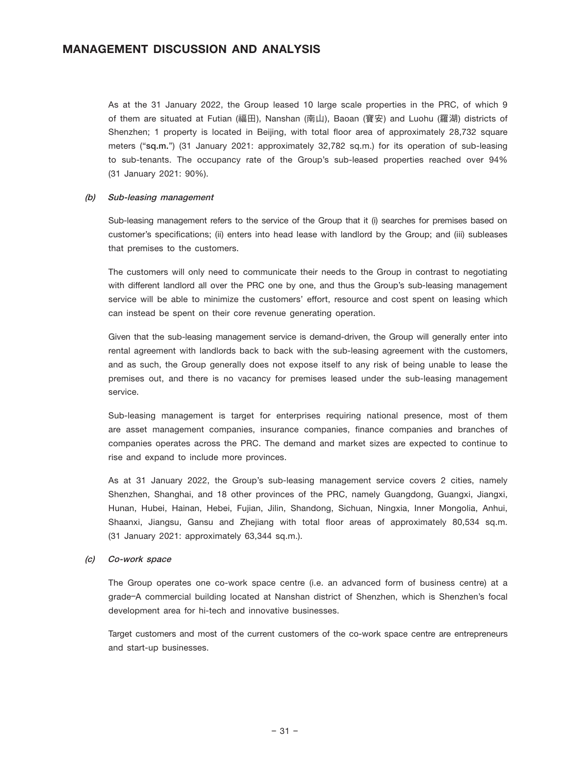As at the 31 January 2022, the Group leased 10 large scale properties in the PRC, of which 9 of them are situated at Futian (福田), Nanshan (南山), Baoan (寶安) and Luohu (羅湖) districts of Shenzhen; 1 property is located in Beijing, with total floor area of approximately 28,732 square meters ("sq.m.") (31 January 2021: approximately 32,782 sq.m.) for its operation of sub-leasing to sub-tenants. The occupancy rate of the Group's sub-leased properties reached over 94% (31 January 2021: 90%).

#### (b) Sub-leasing management

Sub-leasing management refers to the service of the Group that it (i) searches for premises based on customer's specifications; (ii) enters into head lease with landlord by the Group; and (iii) subleases that premises to the customers.

The customers will only need to communicate their needs to the Group in contrast to negotiating with different landlord all over the PRC one by one, and thus the Group's sub-leasing management service will be able to minimize the customers' effort, resource and cost spent on leasing which can instead be spent on their core revenue generating operation.

Given that the sub-leasing management service is demand-driven, the Group will generally enter into rental agreement with landlords back to back with the sub-leasing agreement with the customers, and as such, the Group generally does not expose itself to any risk of being unable to lease the premises out, and there is no vacancy for premises leased under the sub-leasing management service.

Sub-leasing management is target for enterprises requiring national presence, most of them are asset management companies, insurance companies, finance companies and branches of companies operates across the PRC. The demand and market sizes are expected to continue to rise and expand to include more provinces.

As at 31 January 2022, the Group's sub-leasing management service covers 2 cities, namely Shenzhen, Shanghai, and 18 other provinces of the PRC, namely Guangdong, Guangxi, Jiangxi, Hunan, Hubei, Hainan, Hebei, Fujian, Jilin, Shandong, Sichuan, Ningxia, Inner Mongolia, Anhui, Shaanxi, Jiangsu, Gansu and Zhejiang with total floor areas of approximately 80,534 sq.m. (31 January 2021: approximately 63,344 sq.m.).

#### (c) Co-work space

The Group operates one co-work space centre (i.e. an advanced form of business centre) at a grade–A commercial building located at Nanshan district of Shenzhen, which is Shenzhen's focal development area for hi-tech and innovative businesses.

Target customers and most of the current customers of the co-work space centre are entrepreneurs and start-up businesses.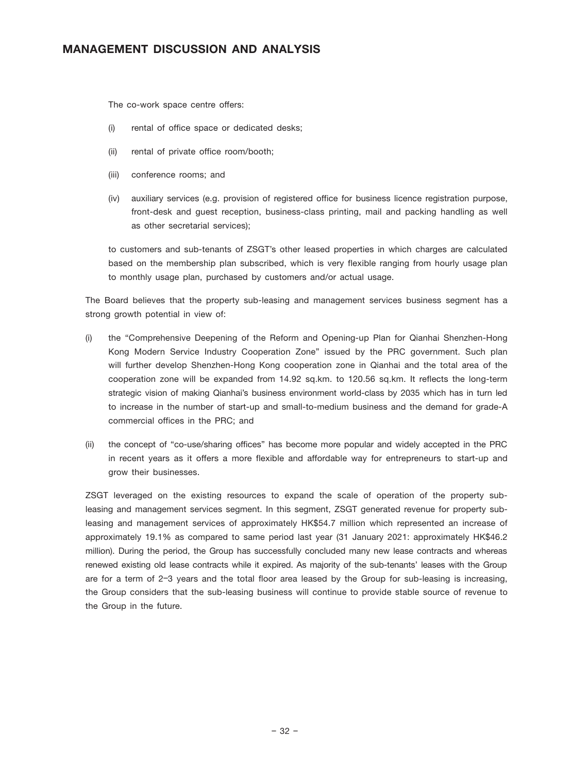The co-work space centre offers:

- (i) rental of office space or dedicated desks;
- (ii) rental of private office room/booth;
- (iii) conference rooms; and
- (iv) auxiliary services (e.g. provision of registered office for business licence registration purpose, front-desk and guest reception, business-class printing, mail and packing handling as well as other secretarial services);

to customers and sub-tenants of ZSGT's other leased properties in which charges are calculated based on the membership plan subscribed, which is very flexible ranging from hourly usage plan to monthly usage plan, purchased by customers and/or actual usage.

The Board believes that the property sub-leasing and management services business segment has a strong growth potential in view of:

- (i) the "Comprehensive Deepening of the Reform and Opening-up Plan for Qianhai Shenzhen-Hong Kong Modern Service Industry Cooperation Zone" issued by the PRC government. Such plan will further develop Shenzhen-Hong Kong cooperation zone in Qianhai and the total area of the cooperation zone will be expanded from 14.92 sq.km. to 120.56 sq.km. It reflects the long-term strategic vision of making Qianhai's business environment world-class by 2035 which has in turn led to increase in the number of start-up and small-to-medium business and the demand for grade-A commercial offices in the PRC; and
- (ii) the concept of "co-use/sharing offices" has become more popular and widely accepted in the PRC in recent years as it offers a more flexible and affordable way for entrepreneurs to start-up and grow their businesses.

ZSGT leveraged on the existing resources to expand the scale of operation of the property subleasing and management services segment. In this segment, ZSGT generated revenue for property subleasing and management services of approximately HK\$54.7 million which represented an increase of approximately 19.1% as compared to same period last year (31 January 2021: approximately HK\$46.2 million). During the period, the Group has successfully concluded many new lease contracts and whereas renewed existing old lease contracts while it expired. As majority of the sub-tenants' leases with the Group are for a term of 2–3 years and the total floor area leased by the Group for sub-leasing is increasing, the Group considers that the sub-leasing business will continue to provide stable source of revenue to the Group in the future.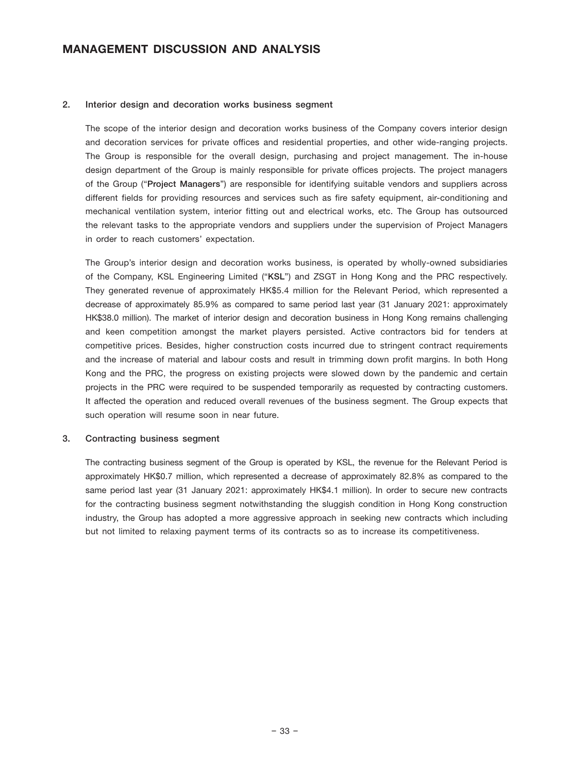#### 2. Interior design and decoration works business segment

The scope of the interior design and decoration works business of the Company covers interior design and decoration services for private offices and residential properties, and other wide-ranging projects. The Group is responsible for the overall design, purchasing and project management. The in-house design department of the Group is mainly responsible for private offices projects. The project managers of the Group ("Project Managers") are responsible for identifying suitable vendors and suppliers across different fields for providing resources and services such as fire safety equipment, air-conditioning and mechanical ventilation system, interior fitting out and electrical works, etc. The Group has outsourced the relevant tasks to the appropriate vendors and suppliers under the supervision of Project Managers in order to reach customers' expectation.

The Group's interior design and decoration works business, is operated by wholly-owned subsidiaries of the Company, KSL Engineering Limited ("KSL") and ZSGT in Hong Kong and the PRC respectively. They generated revenue of approximately HK\$5.4 million for the Relevant Period, which represented a decrease of approximately 85.9% as compared to same period last year (31 January 2021: approximately HK\$38.0 million). The market of interior design and decoration business in Hong Kong remains challenging and keen competition amongst the market players persisted. Active contractors bid for tenders at competitive prices. Besides, higher construction costs incurred due to stringent contract requirements and the increase of material and labour costs and result in trimming down profit margins. In both Hong Kong and the PRC, the progress on existing projects were slowed down by the pandemic and certain projects in the PRC were required to be suspended temporarily as requested by contracting customers. It affected the operation and reduced overall revenues of the business segment. The Group expects that such operation will resume soon in near future.

#### 3. Contracting business segment

The contracting business segment of the Group is operated by KSL, the revenue for the Relevant Period is approximately HK\$0.7 million, which represented a decrease of approximately 82.8% as compared to the same period last year (31 January 2021: approximately HK\$4.1 million). In order to secure new contracts for the contracting business segment notwithstanding the sluggish condition in Hong Kong construction industry, the Group has adopted a more aggressive approach in seeking new contracts which including but not limited to relaxing payment terms of its contracts so as to increase its competitiveness.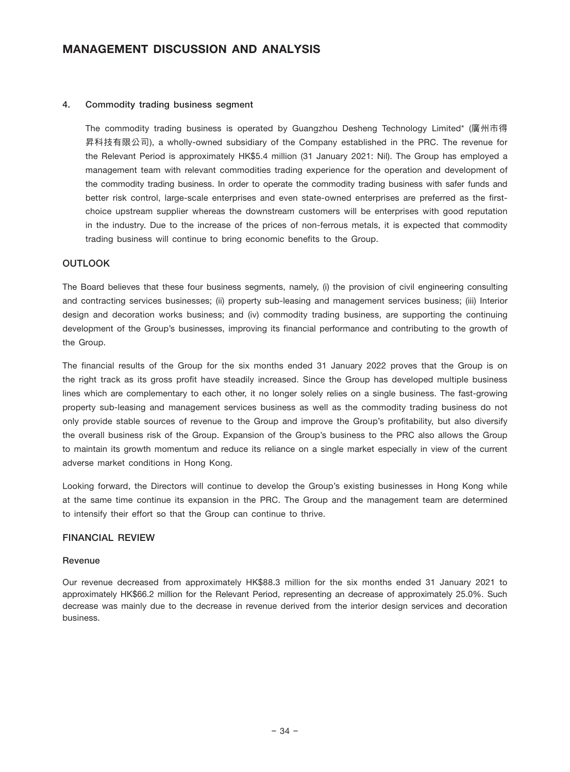#### 4. Commodity trading business segment

The commodity trading business is operated by Guangzhou Desheng Technology Limited\* (廣州市得 昇科技有限公司), a wholly-owned subsidiary of the Company established in the PRC. The revenue for the Relevant Period is approximately HK\$5.4 million (31 January 2021: Nil). The Group has employed a management team with relevant commodities trading experience for the operation and development of the commodity trading business. In order to operate the commodity trading business with safer funds and better risk control, large-scale enterprises and even state-owned enterprises are preferred as the firstchoice upstream supplier whereas the downstream customers will be enterprises with good reputation in the industry. Due to the increase of the prices of non-ferrous metals, it is expected that commodity trading business will continue to bring economic benefits to the Group.

### **OUTLOOK**

The Board believes that these four business segments, namely, (i) the provision of civil engineering consulting and contracting services businesses; (ii) property sub-leasing and management services business; (iii) Interior design and decoration works business; and (iv) commodity trading business, are supporting the continuing development of the Group's businesses, improving its financial performance and contributing to the growth of the Group.

The financial results of the Group for the six months ended 31 January 2022 proves that the Group is on the right track as its gross profit have steadily increased. Since the Group has developed multiple business lines which are complementary to each other, it no longer solely relies on a single business. The fast-growing property sub-leasing and management services business as well as the commodity trading business do not only provide stable sources of revenue to the Group and improve the Group's profitability, but also diversify the overall business risk of the Group. Expansion of the Group's business to the PRC also allows the Group to maintain its growth momentum and reduce its reliance on a single market especially in view of the current adverse market conditions in Hong Kong.

Looking forward, the Directors will continue to develop the Group's existing businesses in Hong Kong while at the same time continue its expansion in the PRC. The Group and the management team are determined to intensify their effort so that the Group can continue to thrive.

### FINANCIAL REVIEW

#### Revenue

Our revenue decreased from approximately HK\$88.3 million for the six months ended 31 January 2021 to approximately HK\$66.2 million for the Relevant Period, representing an decrease of approximately 25.0%. Such decrease was mainly due to the decrease in revenue derived from the interior design services and decoration business.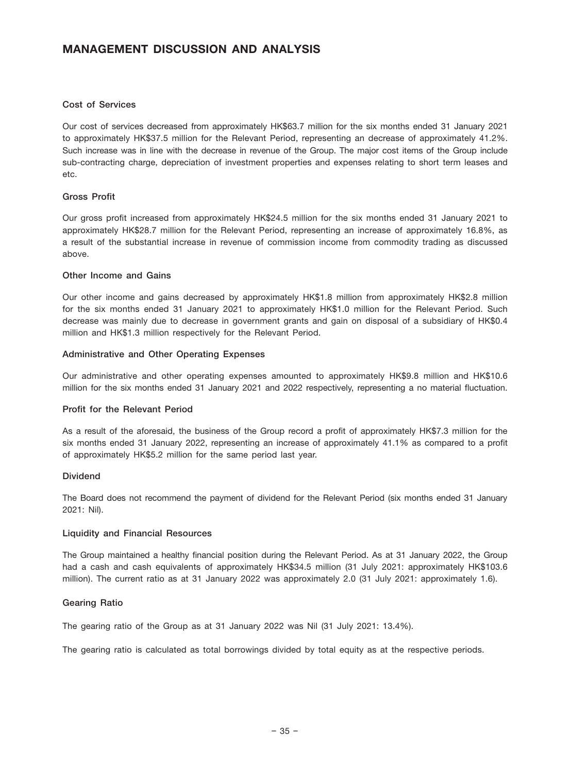#### Cost of Services

Our cost of services decreased from approximately HK\$63.7 million for the six months ended 31 January 2021 to approximately HK\$37.5 million for the Relevant Period, representing an decrease of approximately 41.2%. Such increase was in line with the decrease in revenue of the Group. The major cost items of the Group include sub-contracting charge, depreciation of investment properties and expenses relating to short term leases and etc.

### Gross Profit

Our gross profit increased from approximately HK\$24.5 million for the six months ended 31 January 2021 to approximately HK\$28.7 million for the Relevant Period, representing an increase of approximately 16.8%, as a result of the substantial increase in revenue of commission income from commodity trading as discussed above.

#### Other Income and Gains

Our other income and gains decreased by approximately HK\$1.8 million from approximately HK\$2.8 million for the six months ended 31 January 2021 to approximately HK\$1.0 million for the Relevant Period. Such decrease was mainly due to decrease in government grants and gain on disposal of a subsidiary of HK\$0.4 million and HK\$1.3 million respectively for the Relevant Period.

#### Administrative and Other Operating Expenses

Our administrative and other operating expenses amounted to approximately HK\$9.8 million and HK\$10.6 million for the six months ended 31 January 2021 and 2022 respectively, representing a no material fluctuation.

### Profit for the Relevant Period

As a result of the aforesaid, the business of the Group record a profit of approximately HK\$7.3 million for the six months ended 31 January 2022, representing an increase of approximately 41.1% as compared to a profit of approximately HK\$5.2 million for the same period last year.

#### Dividend

The Board does not recommend the payment of dividend for the Relevant Period (six months ended 31 January 2021: Nil).

#### Liquidity and Financial Resources

The Group maintained a healthy financial position during the Relevant Period. As at 31 January 2022, the Group had a cash and cash equivalents of approximately HK\$34.5 million (31 July 2021: approximately HK\$103.6 million). The current ratio as at 31 January 2022 was approximately 2.0 (31 July 2021: approximately 1.6).

#### Gearing Ratio

The gearing ratio of the Group as at 31 January 2022 was Nil (31 July 2021: 13.4%).

The gearing ratio is calculated as total borrowings divided by total equity as at the respective periods.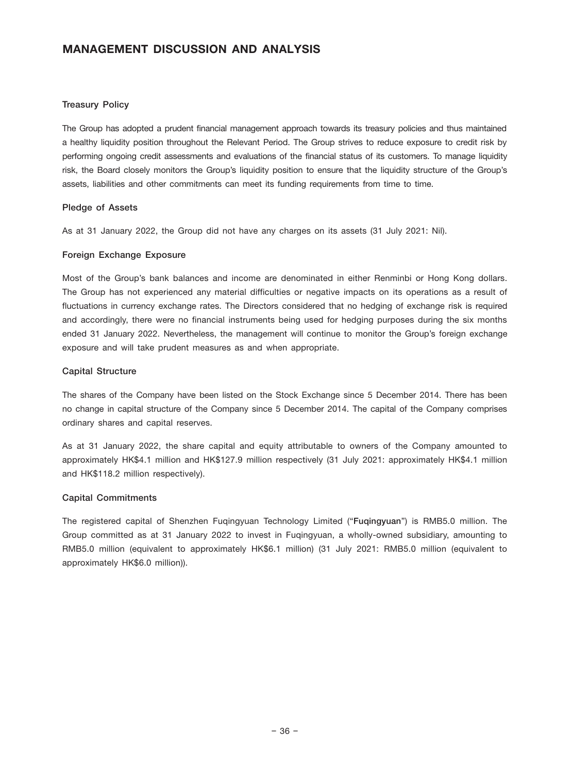### Treasury Policy

The Group has adopted a prudent financial management approach towards its treasury policies and thus maintained a healthy liquidity position throughout the Relevant Period. The Group strives to reduce exposure to credit risk by performing ongoing credit assessments and evaluations of the financial status of its customers. To manage liquidity risk, the Board closely monitors the Group's liquidity position to ensure that the liquidity structure of the Group's assets, liabilities and other commitments can meet its funding requirements from time to time.

#### Pledge of Assets

As at 31 January 2022, the Group did not have any charges on its assets (31 July 2021: Nil).

#### Foreign Exchange Exposure

Most of the Group's bank balances and income are denominated in either Renminbi or Hong Kong dollars. The Group has not experienced any material difficulties or negative impacts on its operations as a result of fluctuations in currency exchange rates. The Directors considered that no hedging of exchange risk is required and accordingly, there were no financial instruments being used for hedging purposes during the six months ended 31 January 2022. Nevertheless, the management will continue to monitor the Group's foreign exchange exposure and will take prudent measures as and when appropriate.

#### Capital Structure

The shares of the Company have been listed on the Stock Exchange since 5 December 2014. There has been no change in capital structure of the Company since 5 December 2014. The capital of the Company comprises ordinary shares and capital reserves.

As at 31 January 2022, the share capital and equity attributable to owners of the Company amounted to approximately HK\$4.1 million and HK\$127.9 million respectively (31 July 2021: approximately HK\$4.1 million and HK\$118.2 million respectively).

### Capital Commitments

The registered capital of Shenzhen Fuqingyuan Technology Limited ("Fuqingyuan") is RMB5.0 million. The Group committed as at 31 January 2022 to invest in Fuqingyuan, a wholly-owned subsidiary, amounting to RMB5.0 million (equivalent to approximately HK\$6.1 million) (31 July 2021: RMB5.0 million (equivalent to approximately HK\$6.0 million)).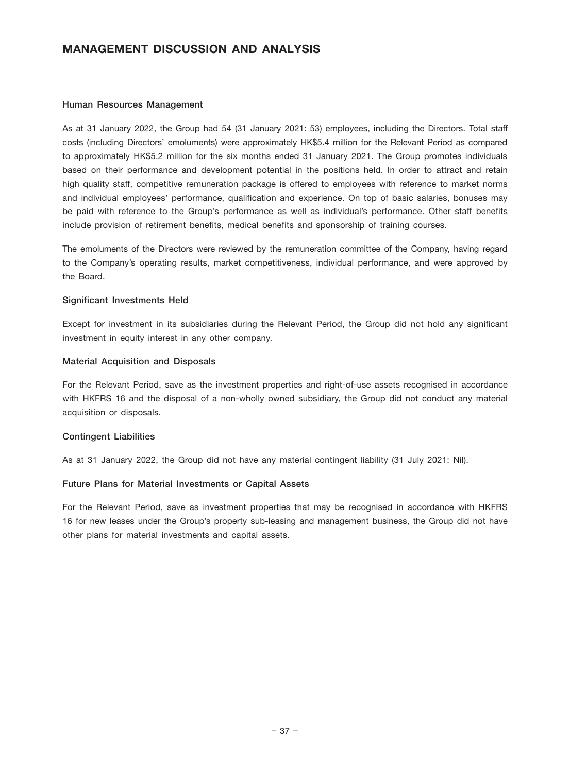#### Human Resources Management

As at 31 January 2022, the Group had 54 (31 January 2021: 53) employees, including the Directors. Total staff costs (including Directors' emoluments) were approximately HK\$5.4 million for the Relevant Period as compared to approximately HK\$5.2 million for the six months ended 31 January 2021. The Group promotes individuals based on their performance and development potential in the positions held. In order to attract and retain high quality staff, competitive remuneration package is offered to employees with reference to market norms and individual employees' performance, qualification and experience. On top of basic salaries, bonuses may be paid with reference to the Group's performance as well as individual's performance. Other staff benefits include provision of retirement benefits, medical benefits and sponsorship of training courses.

The emoluments of the Directors were reviewed by the remuneration committee of the Company, having regard to the Company's operating results, market competitiveness, individual performance, and were approved by the Board.

#### Significant Investments Held

Except for investment in its subsidiaries during the Relevant Period, the Group did not hold any significant investment in equity interest in any other company.

#### Material Acquisition and Disposals

For the Relevant Period, save as the investment properties and right-of-use assets recognised in accordance with HKFRS 16 and the disposal of a non-wholly owned subsidiary, the Group did not conduct any material acquisition or disposals.

### Contingent Liabilities

As at 31 January 2022, the Group did not have any material contingent liability (31 July 2021: Nil).

#### Future Plans for Material Investments or Capital Assets

For the Relevant Period, save as investment properties that may be recognised in accordance with HKFRS 16 for new leases under the Group's property sub-leasing and management business, the Group did not have other plans for material investments and capital assets.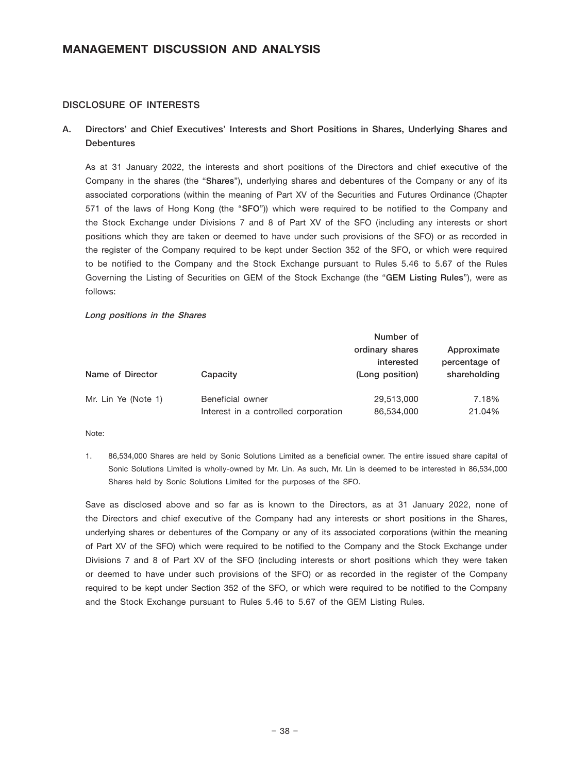#### DISCLOSURE OF INTERESTS

## A. Directors' and Chief Executives' Interests and Short Positions in Shares, Underlying Shares and **Debentures**

As at 31 January 2022, the interests and short positions of the Directors and chief executive of the Company in the shares (the "Shares"), underlying shares and debentures of the Company or any of its associated corporations (within the meaning of Part XV of the Securities and Futures Ordinance (Chapter 571 of the laws of Hong Kong (the "SFO")) which were required to be notified to the Company and the Stock Exchange under Divisions 7 and 8 of Part XV of the SFO (including any interests or short positions which they are taken or deemed to have under such provisions of the SFO) or as recorded in the register of the Company required to be kept under Section 352 of the SFO, or which were required to be notified to the Company and the Stock Exchange pursuant to Rules 5.46 to 5.67 of the Rules Governing the Listing of Securities on GEM of the Stock Exchange (the "GEM Listing Rules"), were as follows:

#### Long positions in the Shares

|                     |                                      | Number of       |               |
|---------------------|--------------------------------------|-----------------|---------------|
|                     |                                      | ordinary shares | Approximate   |
|                     |                                      | interested      | percentage of |
| Name of Director    | Capacity                             | (Long position) | shareholding  |
|                     |                                      |                 |               |
| Mr. Lin Ye (Note 1) | Beneficial owner                     | 29,513,000      | 7.18%         |
|                     | Interest in a controlled corporation | 86,534,000      | 21.04%        |

Note:

1. 86,534,000 Shares are held by Sonic Solutions Limited as a beneficial owner. The entire issued share capital of Sonic Solutions Limited is wholly-owned by Mr. Lin. As such, Mr. Lin is deemed to be interested in 86,534,000 Shares held by Sonic Solutions Limited for the purposes of the SFO.

Save as disclosed above and so far as is known to the Directors, as at 31 January 2022, none of the Directors and chief executive of the Company had any interests or short positions in the Shares, underlying shares or debentures of the Company or any of its associated corporations (within the meaning of Part XV of the SFO) which were required to be notified to the Company and the Stock Exchange under Divisions 7 and 8 of Part XV of the SFO (including interests or short positions which they were taken or deemed to have under such provisions of the SFO) or as recorded in the register of the Company required to be kept under Section 352 of the SFO, or which were required to be notified to the Company and the Stock Exchange pursuant to Rules 5.46 to 5.67 of the GEM Listing Rules.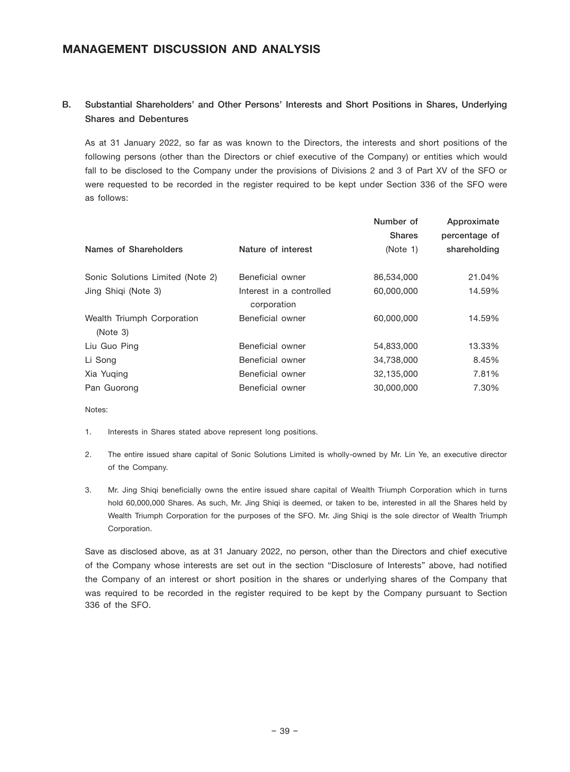# B. Substantial Shareholders' and Other Persons' Interests and Short Positions in Shares, Underlying Shares and Debentures

As at 31 January 2022, so far as was known to the Directors, the interests and short positions of the following persons (other than the Directors or chief executive of the Company) or entities which would fall to be disclosed to the Company under the provisions of Divisions 2 and 3 of Part XV of the SFO or were requested to be recorded in the register required to be kept under Section 336 of the SFO were as follows:

|                                        |                                         | Number of<br><b>Shares</b> | Approximate<br>percentage of |
|----------------------------------------|-----------------------------------------|----------------------------|------------------------------|
| Names of Shareholders                  | Nature of interest                      | (Note 1)                   | shareholding                 |
| Sonic Solutions Limited (Note 2)       | Beneficial owner                        | 86,534,000                 | 21.04%                       |
| Jing Shiqi (Note 3)                    | Interest in a controlled<br>corporation | 60,000,000                 | 14.59%                       |
| Wealth Triumph Corporation<br>(Note 3) | Beneficial owner                        | 60.000.000                 | 14.59%                       |
| Liu Guo Ping                           | Beneficial owner                        | 54,833,000                 | 13.33%                       |
| Li Song                                | Beneficial owner                        | 34,738,000                 | 8.45%                        |
| Xia Yuging                             | Beneficial owner                        | 32,135,000                 | 7.81%                        |
| Pan Guorong                            | Beneficial owner                        | 30,000,000                 | 7.30%                        |

Notes:

- 1. Interests in Shares stated above represent long positions.
- 2. The entire issued share capital of Sonic Solutions Limited is wholly-owned by Mr. Lin Ye, an executive director of the Company.
- 3. Mr. Jing Shiqi beneficially owns the entire issued share capital of Wealth Triumph Corporation which in turns hold 60,000,000 Shares. As such, Mr. Jing Shiqi is deemed, or taken to be, interested in all the Shares held by Wealth Triumph Corporation for the purposes of the SFO. Mr. Jing Shiqi is the sole director of Wealth Triumph Corporation.

Save as disclosed above, as at 31 January 2022, no person, other than the Directors and chief executive of the Company whose interests are set out in the section "Disclosure of Interests" above, had notified the Company of an interest or short position in the shares or underlying shares of the Company that was required to be recorded in the register required to be kept by the Company pursuant to Section 336 of the SFO.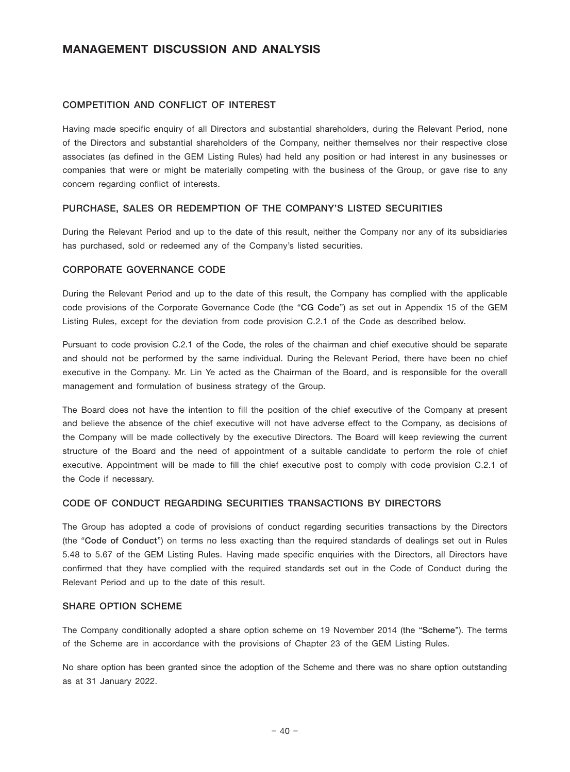#### COMPETITION AND CONFLICT OF INTEREST

Having made specific enquiry of all Directors and substantial shareholders, during the Relevant Period, none of the Directors and substantial shareholders of the Company, neither themselves nor their respective close associates (as defined in the GEM Listing Rules) had held any position or had interest in any businesses or companies that were or might be materially competing with the business of the Group, or gave rise to any concern regarding conflict of interests.

### PURCHASE, SALES OR REDEMPTION OF THE COMPANY'S LISTED SECURITIES

During the Relevant Period and up to the date of this result, neither the Company nor any of its subsidiaries has purchased, sold or redeemed any of the Company's listed securities.

#### CORPORATE GOVERNANCE CODE

During the Relevant Period and up to the date of this result, the Company has complied with the applicable code provisions of the Corporate Governance Code (the "CG Code") as set out in Appendix 15 of the GEM Listing Rules, except for the deviation from code provision C.2.1 of the Code as described below.

Pursuant to code provision C.2.1 of the Code, the roles of the chairman and chief executive should be separate and should not be performed by the same individual. During the Relevant Period, there have been no chief executive in the Company. Mr. Lin Ye acted as the Chairman of the Board, and is responsible for the overall management and formulation of business strategy of the Group.

The Board does not have the intention to fill the position of the chief executive of the Company at present and believe the absence of the chief executive will not have adverse effect to the Company, as decisions of the Company will be made collectively by the executive Directors. The Board will keep reviewing the current structure of the Board and the need of appointment of a suitable candidate to perform the role of chief executive. Appointment will be made to fill the chief executive post to comply with code provision C.2.1 of the Code if necessary.

### CODE OF CONDUCT REGARDING SECURITIES TRANSACTIONS BY DIRECTORS

The Group has adopted a code of provisions of conduct regarding securities transactions by the Directors (the "Code of Conduct") on terms no less exacting than the required standards of dealings set out in Rules 5.48 to 5.67 of the GEM Listing Rules. Having made specific enquiries with the Directors, all Directors have confirmed that they have complied with the required standards set out in the Code of Conduct during the Relevant Period and up to the date of this result.

### SHARE OPTION SCHEME

The Company conditionally adopted a share option scheme on 19 November 2014 (the "Scheme"). The terms of the Scheme are in accordance with the provisions of Chapter 23 of the GEM Listing Rules.

No share option has been granted since the adoption of the Scheme and there was no share option outstanding as at 31 January 2022.